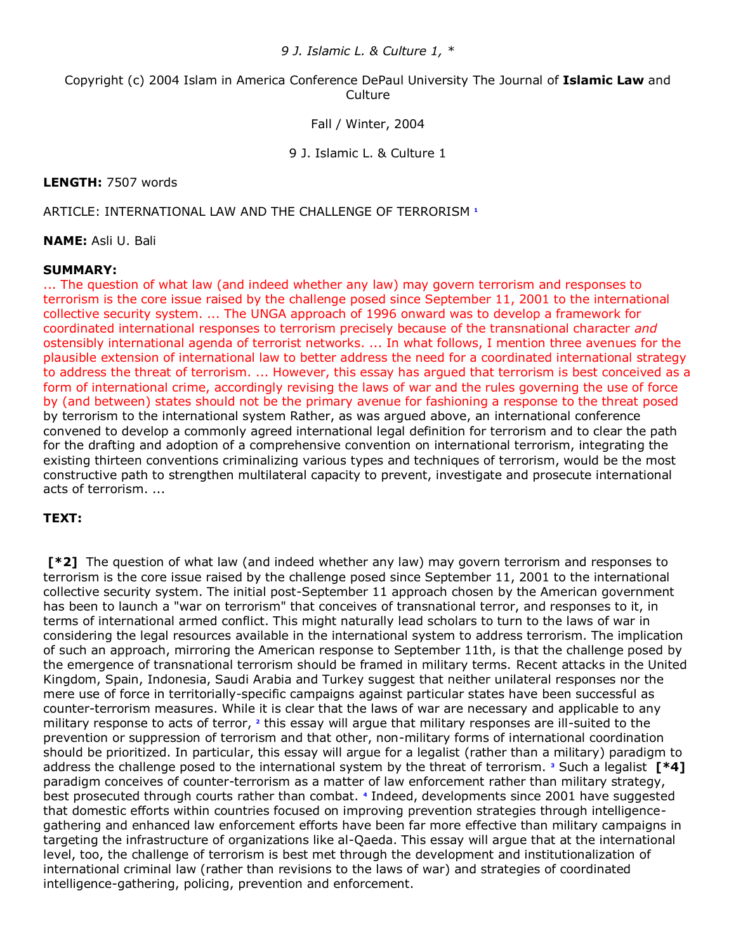*9 J. Islamic L. & Culture 1, \**

Copyright (c) 2004 Islam in America Conference DePaul University The Journal of **Islamic Law** and **Culture** 

Fall / Winter, 2004

9 J. Islamic L. & Culture 1

### **LENGTH:** 7507 words

### ARTICLE: INTERNATIONAL LAW AND THE CHALLENGE OF TERRORISM**<sup>1</sup>**

**NAME:** Asli U. Bali

#### **SUMMARY:**

... The question of what law (and indeed whether any law) may govern terrorism and responses to terrorism is the core issue raised by the challenge posed since September 11, 2001 to the international collective security system. ... The UNGA approach of 1996 onward was to develop a framework for coordinated international responses to terrorism precisely because of the transnational character *and* ostensibly international agenda of terrorist networks. ... In what follows, I mention three avenues for the plausible extension of international law to better address the need for a coordinated international strategy to address the threat of terrorism. ... However, this essay has argued that terrorism is best conceived as a form of international crime, accordingly revising the laws of war and the rules governing the use of force by (and between) states should not be the primary avenue for fashioning a response to the threat posed by terrorism to the international system Rather, as was argued above, an international conference convened to develop a commonly agreed international legal definition for terrorism and to clear the path for the drafting and adoption of a comprehensive convention on international terrorism, integrating the existing thirteen conventions criminalizing various types and techniques of terrorism, would be the most constructive path to strengthen multilateral capacity to prevent, investigate and prosecute international acts of terrorism. ...

### **TEXT:**

**[\*2]** The question of what law (and indeed whether any law) may govern terrorism and responses to terrorism is the core issue raised by the challenge posed since September 11, 2001 to the international collective security system. The initial post-September 11 approach chosen by the American government has been to launch a "war on terrorism" that conceives of transnational terror, and responses to it, in terms of international armed conflict. This might naturally lead scholars to turn to the laws of war in considering the legal resources available in the international system to address terrorism. The implication of such an approach, mirroring the American response to September 11th, is that the challenge posed by the emergence of transnational terrorism should be framed in military terms. Recent attacks in the United Kingdom, Spain, Indonesia, Saudi Arabia and Turkey suggest that neither unilateral responses nor the mere use of force in territorially-specific campaigns against particular states have been successful as counter-terrorism measures. While it is clear that the laws of war are necessary and applicable to any militaryresponse to acts of terror, <sup>2</sup> this essay will argue that military responses are ill-suited to the prevention or suppression of terrorism and that other, non-military forms of international coordination should be prioritized. In particular, this essay will argue for a legalist (rather than a military) paradigm to address the challenge posed to the international system by the threat of terrorism.**<sup>3</sup>** Such a legalist **[\*4]** paradigm conceives of counter-terrorism as a matter of law enforcement rather than military strategy, best prosecuted through courts rather than combat.**<sup>4</sup>** Indeed, developments since 2001 have suggested that domestic efforts within countries focused on improving prevention strategies through intelligencegathering and enhanced law enforcement efforts have been far more effective than military campaigns in targeting the infrastructure of organizations like al-Qaeda. This essay will argue that at the international level, too, the challenge of terrorism is best met through the development and institutionalization of international criminal law (rather than revisions to the laws of war) and strategies of coordinated intelligence-gathering, policing, prevention and enforcement.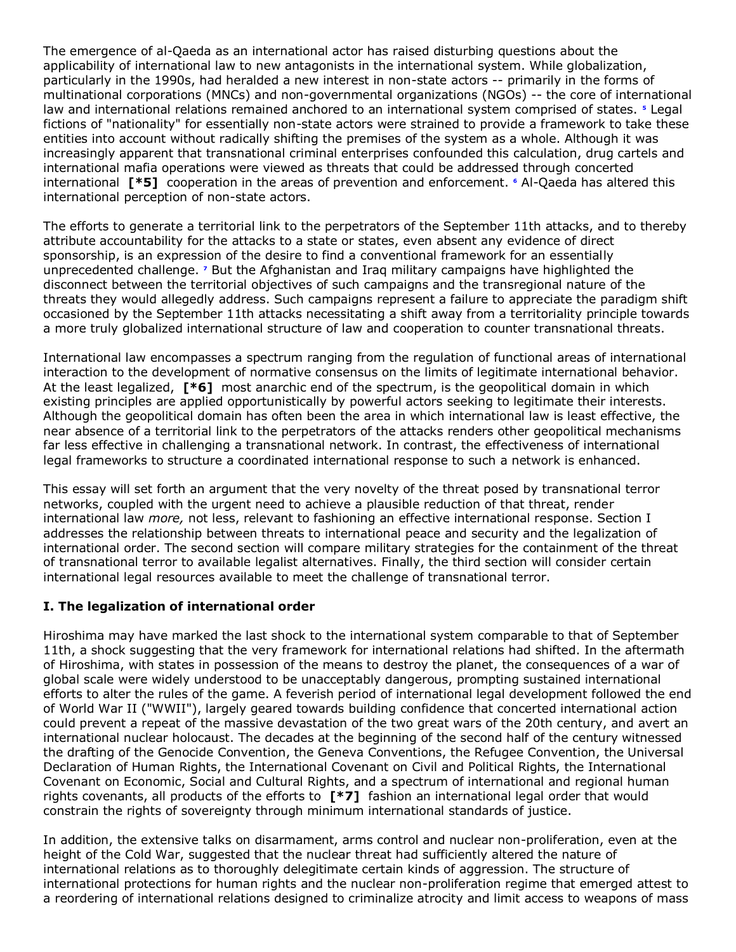The emergence of al-Qaeda as an international actor has raised disturbing questions about the applicability of international law to new antagonists in the international system. While globalization, particularly in the 1990s, had heralded a new interest in non-state actors -- primarily in the forms of multinational corporations (MNCs) and non-governmental organizations (NGOs) -- the core of international law and international relations remained anchored to an international system comprised of states.**<sup>5</sup>** Legal fictions of "nationality" for essentially non-state actors were strained to provide a framework to take these entities into account without radically shifting the premises of the system as a whole. Although it was increasingly apparent that transnational criminal enterprises confounded this calculation, drug cartels and international mafia operations were viewed as threats that could be addressed through concerted international **[\*5]** cooperation in the areas of prevention and enforcement.**<sup>6</sup>** Al-Qaeda has altered this international perception of non-state actors.

The efforts to generate a territorial link to the perpetrators of the September 11th attacks, and to thereby attribute accountability for the attacks to a state or states, even absent any evidence of direct sponsorship, is an expression of the desire to find a conventional framework for an essentially unprecedented challenge.**<sup>7</sup>** But the Afghanistan and Iraq military campaigns have highlighted the disconnect between the territorial objectives of such campaigns and the transregional nature of the threats they would allegedly address. Such campaigns represent a failure to appreciate the paradigm shift occasioned by the September 11th attacks necessitating a shift away from a territoriality principle towards a more truly globalized international structure of law and cooperation to counter transnational threats.

International law encompasses a spectrum ranging from the regulation of functional areas of international interaction to the development of normative consensus on the limits of legitimate international behavior. At the least legalized, **[\*6]** most anarchic end of the spectrum, is the geopolitical domain in which existing principles are applied opportunistically by powerful actors seeking to legitimate their interests. Although the geopolitical domain has often been the area in which international law is least effective, the near absence of a territorial link to the perpetrators of the attacks renders other geopolitical mechanisms far less effective in challenging a transnational network. In contrast, the effectiveness of international legal frameworks to structure a coordinated international response to such a network is enhanced.

This essay will set forth an argument that the very novelty of the threat posed by transnational terror networks, coupled with the urgent need to achieve a plausible reduction of that threat, render international law *more,* not less, relevant to fashioning an effective international response. Section I addresses the relationship between threats to international peace and security and the legalization of international order. The second section will compare military strategies for the containment of the threat of transnational terror to available legalist alternatives. Finally, the third section will consider certain international legal resources available to meet the challenge of transnational terror.

## **I. The legalization of international order**

Hiroshima may have marked the last shock to the international system comparable to that of September 11th, a shock suggesting that the very framework for international relations had shifted. In the aftermath of Hiroshima, with states in possession of the means to destroy the planet, the consequences of a war of global scale were widely understood to be unacceptably dangerous, prompting sustained international efforts to alter the rules of the game. A feverish period of international legal development followed the end of World War II ("WWII"), largely geared towards building confidence that concerted international action could prevent a repeat of the massive devastation of the two great wars of the 20th century, and avert an international nuclear holocaust. The decades at the beginning of the second half of the century witnessed the drafting of the Genocide Convention, the Geneva Conventions, the Refugee Convention, the Universal Declaration of Human Rights, the International Covenant on Civil and Political Rights, the International Covenant on Economic, Social and Cultural Rights, and a spectrum of international and regional human rights covenants, all products of the efforts to **[\*7]** fashion an international legal order that would constrain the rights of sovereignty through minimum international standards of justice.

In addition, the extensive talks on disarmament, arms control and nuclear non-proliferation, even at the height of the Cold War, suggested that the nuclear threat had sufficiently altered the nature of international relations as to thoroughly delegitimate certain kinds of aggression. The structure of international protections for human rights and the nuclear non-proliferation regime that emerged attest to a reordering of international relations designed to criminalize atrocity and limit access to weapons of mass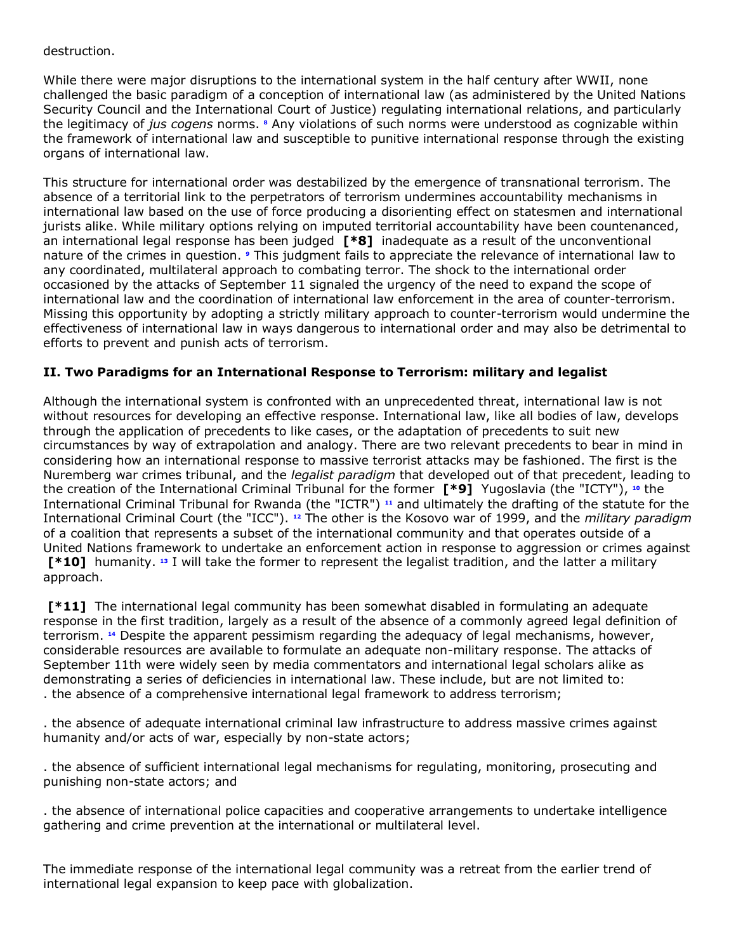### destruction.

While there were major disruptions to the international system in the half century after WWII, none challenged the basic paradigm of a conception of international law (as administered by the United Nations Security Council and the International Court of Justice) regulating international relations, and particularly the legitimacy of *jus cogens* norms.**<sup>8</sup>** Any violations of such norms were understood as cognizable within the framework of international law and susceptible to punitive international response through the existing organs of international law.

This structure for international order was destabilized by the emergence of transnational terrorism. The absence of a territorial link to the perpetrators of terrorism undermines accountability mechanisms in international law based on the use of force producing a disorienting effect on statesmen and international jurists alike. While military options relying on imputed territorial accountability have been countenanced, an international legal response has been judged **[\*8]** inadequate as a result of the unconventional nature of the crimes in question.**<sup>9</sup>** This judgment fails to appreciate the relevance of international law to any coordinated, multilateral approach to combating terror. The shock to the international order occasioned by the attacks of September 11 signaled the urgency of the need to expand the scope of international law and the coordination of international law enforcement in the area of counter-terrorism. Missing this opportunity by adopting a strictly military approach to counter-terrorism would undermine the effectiveness of international law in ways dangerous to international order and may also be detrimental to efforts to prevent and punish acts of terrorism.

## **II. Two Paradigms for an International Response to Terrorism: military and legalist**

Although the international system is confronted with an unprecedented threat, international law is not without resources for developing an effective response. International law, like all bodies of law, develops through the application of precedents to like cases, or the adaptation of precedents to suit new circumstances by way of extrapolation and analogy. There are two relevant precedents to bear in mind in considering how an international response to massive terrorist attacks may be fashioned. The first is the Nuremberg war crimes tribunal, and the *legalist paradigm* that developed out of that precedent, leading to the creation of the International Criminal Tribunal for the former **[\*9]** Yugoslavia (the "ICTY"), **[10](http://www.lexis.com/research/retrieve?_m=47973e549231c520dbe09e2cd0971a2c&docnum=46&_fmtstr=FULL&_startdoc=1&wchp=dGLbVzz-zSkAA&_md5=0f232df1e532c2bc94176067a855cfb4&focBudTerms=&focBudSel=all#n10#n10)** the International Criminal Tribunal for Rwanda (the "ICTR") **[11](http://www.lexis.com/research/retrieve?_m=47973e549231c520dbe09e2cd0971a2c&docnum=46&_fmtstr=FULL&_startdoc=1&wchp=dGLbVzz-zSkAA&_md5=0f232df1e532c2bc94176067a855cfb4&focBudTerms=&focBudSel=all#n11#n11)** and ultimately the drafting of the statute for the International Criminal Court (the "ICC"). **[12](http://www.lexis.com/research/retrieve?_m=47973e549231c520dbe09e2cd0971a2c&docnum=46&_fmtstr=FULL&_startdoc=1&wchp=dGLbVzz-zSkAA&_md5=0f232df1e532c2bc94176067a855cfb4&focBudTerms=&focBudSel=all#n12#n12)** The other is the Kosovo war of 1999, and the *military paradigm* of a coalition that represents a subset of the international community and that operates outside of a United Nations framework to undertake an enforcement action in response to aggression or crimes against **[\*10]** humanity. **[13](http://www.lexis.com/research/retrieve?_m=47973e549231c520dbe09e2cd0971a2c&docnum=46&_fmtstr=FULL&_startdoc=1&wchp=dGLbVzz-zSkAA&_md5=0f232df1e532c2bc94176067a855cfb4&focBudTerms=&focBudSel=all#n13#n13)** I will take the former to represent the legalist tradition, and the latter a military approach.

**[\*11]** The international legal community has been somewhat disabled in formulating an adequate response in the first tradition, largely as a result of the absence of a commonly agreed legal definition of terrorism. **[14](http://www.lexis.com/research/retrieve?_m=47973e549231c520dbe09e2cd0971a2c&docnum=46&_fmtstr=FULL&_startdoc=1&wchp=dGLbVzz-zSkAA&_md5=0f232df1e532c2bc94176067a855cfb4&focBudTerms=&focBudSel=all#n14#n14)** Despite the apparent pessimism regarding the adequacy of legal mechanisms, however, considerable resources are available to formulate an adequate non-military response. The attacks of September 11th were widely seen by media commentators and international legal scholars alike as demonstrating a series of deficiencies in international law. These include, but are not limited to: . the absence of a comprehensive international legal framework to address terrorism;

. the absence of adequate international criminal law infrastructure to address massive crimes against humanity and/or acts of war, especially by non-state actors;

. the absence of sufficient international legal mechanisms for regulating, monitoring, prosecuting and punishing non-state actors; and

. the absence of international police capacities and cooperative arrangements to undertake intelligence gathering and crime prevention at the international or multilateral level.

The immediate response of the international legal community was a retreat from the earlier trend of international legal expansion to keep pace with globalization.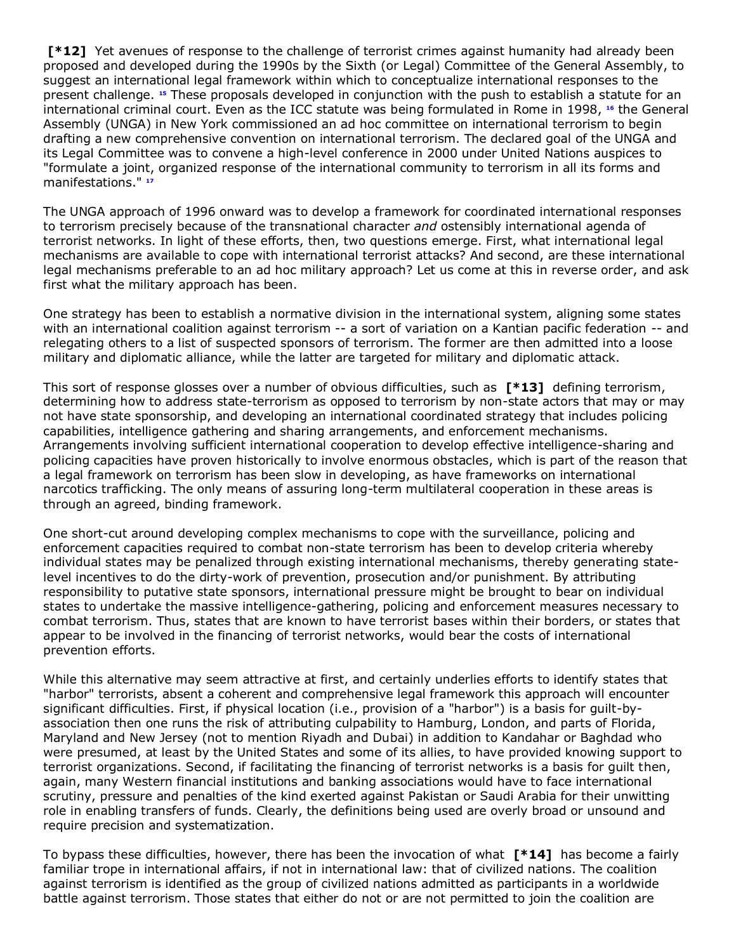**[\*12]** Yet avenues of response to the challenge of terrorist crimes against humanity had already been proposed and developed during the 1990s by the Sixth (or Legal) Committee of the General Assembly, to suggest an international legal framework within which to conceptualize international responses to the present challenge. **[15](http://www.lexis.com/research/retrieve?_m=47973e549231c520dbe09e2cd0971a2c&docnum=46&_fmtstr=FULL&_startdoc=1&wchp=dGLbVzz-zSkAA&_md5=0f232df1e532c2bc94176067a855cfb4&focBudTerms=&focBudSel=all#n15#n15)** These proposals developed in conjunction with the push to establish a statute for an international criminal court. Even as the ICC statute was being formulated in Rome in 1998, **[16](http://www.lexis.com/research/retrieve?_m=47973e549231c520dbe09e2cd0971a2c&docnum=46&_fmtstr=FULL&_startdoc=1&wchp=dGLbVzz-zSkAA&_md5=0f232df1e532c2bc94176067a855cfb4&focBudTerms=&focBudSel=all#n16#n16)** the General Assembly (UNGA) in New York commissioned an ad hoc committee on international terrorism to begin drafting a new comprehensive convention on international terrorism. The declared goal of the UNGA and its Legal Committee was to convene a high-level conference in 2000 under United Nations auspices to "formulate a joint, organized response of the international community to terrorism in all its forms and manifestations." **[17](http://www.lexis.com/research/retrieve?_m=47973e549231c520dbe09e2cd0971a2c&docnum=46&_fmtstr=FULL&_startdoc=1&wchp=dGLbVzz-zSkAA&_md5=0f232df1e532c2bc94176067a855cfb4&focBudTerms=&focBudSel=all#n17#n17)**

The UNGA approach of 1996 onward was to develop a framework for coordinated international responses to terrorism precisely because of the transnational character *and* ostensibly international agenda of terrorist networks. In light of these efforts, then, two questions emerge. First, what international legal mechanisms are available to cope with international terrorist attacks? And second, are these international legal mechanisms preferable to an ad hoc military approach? Let us come at this in reverse order, and ask first what the military approach has been.

One strategy has been to establish a normative division in the international system, aligning some states with an international coalition against terrorism -- a sort of variation on a Kantian pacific federation -- and relegating others to a list of suspected sponsors of terrorism. The former are then admitted into a loose military and diplomatic alliance, while the latter are targeted for military and diplomatic attack.

This sort of response glosses over a number of obvious difficulties, such as **[\*13]** defining terrorism, determining how to address state-terrorism as opposed to terrorism by non-state actors that may or may not have state sponsorship, and developing an international coordinated strategy that includes policing capabilities, intelligence gathering and sharing arrangements, and enforcement mechanisms. Arrangements involving sufficient international cooperation to develop effective intelligence-sharing and policing capacities have proven historically to involve enormous obstacles, which is part of the reason that a legal framework on terrorism has been slow in developing, as have frameworks on international narcotics trafficking. The only means of assuring long-term multilateral cooperation in these areas is through an agreed, binding framework.

One short-cut around developing complex mechanisms to cope with the surveillance, policing and enforcement capacities required to combat non-state terrorism has been to develop criteria whereby individual states may be penalized through existing international mechanisms, thereby generating statelevel incentives to do the dirty-work of prevention, prosecution and/or punishment. By attributing responsibility to putative state sponsors, international pressure might be brought to bear on individual states to undertake the massive intelligence-gathering, policing and enforcement measures necessary to combat terrorism. Thus, states that are known to have terrorist bases within their borders, or states that appear to be involved in the financing of terrorist networks, would bear the costs of international prevention efforts.

While this alternative may seem attractive at first, and certainly underlies efforts to identify states that "harbor" terrorists, absent a coherent and comprehensive legal framework this approach will encounter significant difficulties. First, if physical location (i.e., provision of a "harbor") is a basis for guilt-byassociation then one runs the risk of attributing culpability to Hamburg, London, and parts of Florida, Maryland and New Jersey (not to mention Riyadh and Dubai) in addition to Kandahar or Baghdad who were presumed, at least by the United States and some of its allies, to have provided knowing support to terrorist organizations. Second, if facilitating the financing of terrorist networks is a basis for guilt then, again, many Western financial institutions and banking associations would have to face international scrutiny, pressure and penalties of the kind exerted against Pakistan or Saudi Arabia for their unwitting role in enabling transfers of funds. Clearly, the definitions being used are overly broad or unsound and require precision and systematization.

To bypass these difficulties, however, there has been the invocation of what **[\*14]** has become a fairly familiar trope in international affairs, if not in international law: that of civilized nations. The coalition against terrorism is identified as the group of civilized nations admitted as participants in a worldwide battle against terrorism. Those states that either do not or are not permitted to join the coalition are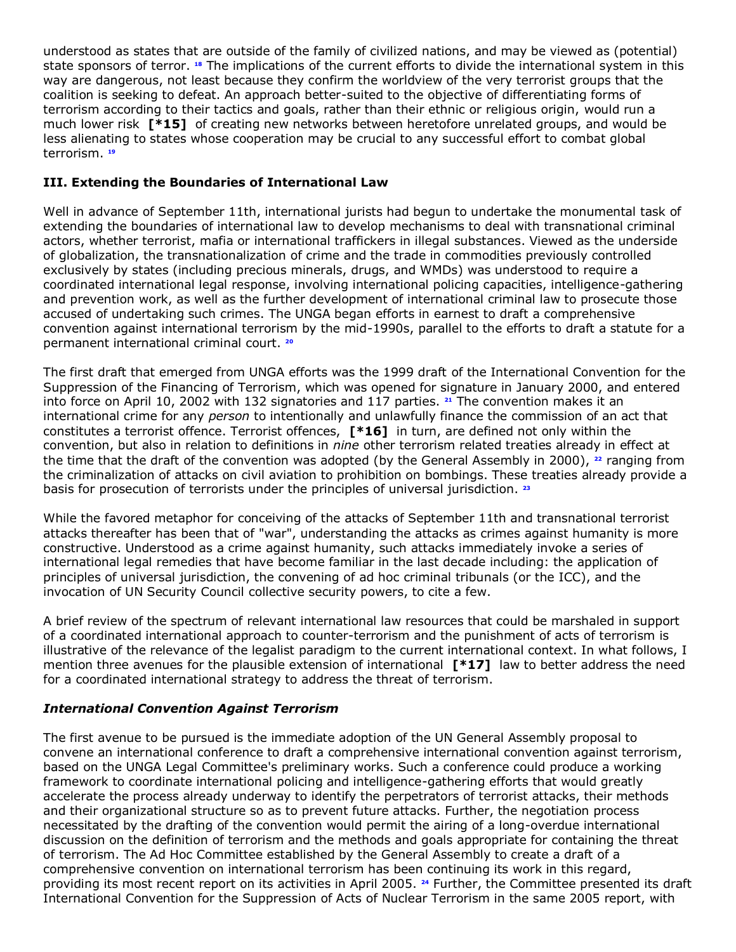understood as states that are outside of the family of civilized nations, and may be viewed as (potential) state sponsors of terror.**<sup>18</sup>** The implications of the current efforts to divide the international system in this way are dangerous, not least because they confirm the worldview of the very terrorist groups that the coalition is seeking to defeat. An approach better-suited to the objective of differentiating forms of terrorism according to their tactics and goals, rather than their ethnic or religious origin, would run a much lower risk **[\*15]** of creating new networks between heretofore unrelated groups, and would be less alienating to states whose cooperation may be crucial to any successful effort to combat global terrorism. **[19](http://www.lexis.com/research/retrieve?_m=47973e549231c520dbe09e2cd0971a2c&docnum=46&_fmtstr=FULL&_startdoc=1&wchp=dGLbVzz-zSkAA&_md5=0f232df1e532c2bc94176067a855cfb4&focBudTerms=&focBudSel=all#n19#n19)**

## **III. Extending the Boundaries of International Law**

Well in advance of September 11th, international jurists had begun to undertake the monumental task of extending the boundaries of international law to develop mechanisms to deal with transnational criminal actors, whether terrorist, mafia or international traffickers in illegal substances. Viewed as the underside of globalization, the transnationalization of crime and the trade in commodities previously controlled exclusively by states (including precious minerals, drugs, and WMDs) was understood to require a coordinated international legal response, involving international policing capacities, intelligence-gathering and prevention work, as well as the further development of international criminal law to prosecute those accused of undertaking such crimes. The UNGA began efforts in earnest to draft a comprehensive convention against international terrorism by the mid-1990s, parallel to the efforts to draft a statute for a permanent international criminal court. **[20](http://www.lexis.com/research/retrieve?_m=47973e549231c520dbe09e2cd0971a2c&docnum=46&_fmtstr=FULL&_startdoc=1&wchp=dGLbVzz-zSkAA&_md5=0f232df1e532c2bc94176067a855cfb4&focBudTerms=&focBudSel=all#n20#n20)**

The first draft that emerged from UNGA efforts was the 1999 draft of the International Convention for the Suppression of the Financing of Terrorism, which was opened for signature in January 2000, and entered into force on April 10, 2002 with 132 signatories and 117 parties. **[21](http://www.lexis.com/research/retrieve?_m=47973e549231c520dbe09e2cd0971a2c&docnum=46&_fmtstr=FULL&_startdoc=1&wchp=dGLbVzz-zSkAA&_md5=0f232df1e532c2bc94176067a855cfb4&focBudTerms=&focBudSel=all#n21#n21)** The convention makes it an international crime for any *person* to intentionally and unlawfully finance the commission of an act that constitutes a terrorist offence. Terrorist offences, **[\*16]** in turn, are defined not only within the convention, but also in relation to definitions in *nine* other terrorism related treaties already in effect at the time that the draft of the convention was adopted (by the General Assembly in 2000), **[22](http://www.lexis.com/research/retrieve?_m=47973e549231c520dbe09e2cd0971a2c&docnum=46&_fmtstr=FULL&_startdoc=1&wchp=dGLbVzz-zSkAA&_md5=0f232df1e532c2bc94176067a855cfb4&focBudTerms=&focBudSel=all#n22#n22)** ranging from the criminalization of attacks on civil aviation to prohibition on bombings. These treaties already provide a basis for prosecution of terrorists under the principles of universal jurisdiction. **[23](http://www.lexis.com/research/retrieve?_m=47973e549231c520dbe09e2cd0971a2c&docnum=46&_fmtstr=FULL&_startdoc=1&wchp=dGLbVzz-zSkAA&_md5=0f232df1e532c2bc94176067a855cfb4&focBudTerms=&focBudSel=all#n23#n23)**

While the favored metaphor for conceiving of the attacks of September 11th and transnational terrorist attacks thereafter has been that of "war", understanding the attacks as crimes against humanity is more constructive. Understood as a crime against humanity, such attacks immediately invoke a series of international legal remedies that have become familiar in the last decade including: the application of principles of universal jurisdiction, the convening of ad hoc criminal tribunals (or the ICC), and the invocation of UN Security Council collective security powers, to cite a few.

A brief review of the spectrum of relevant international law resources that could be marshaled in support of a coordinated international approach to counter-terrorism and the punishment of acts of terrorism is illustrative of the relevance of the legalist paradigm to the current international context. In what follows, I mention three avenues for the plausible extension of international **[\*17]** law to better address the need for a coordinated international strategy to address the threat of terrorism.

## *International Convention Against Terrorism*

The first avenue to be pursued is the immediate adoption of the UN General Assembly proposal to convene an international conference to draft a comprehensive international convention against terrorism, based on the UNGA Legal Committee's preliminary works. Such a conference could produce a working framework to coordinate international policing and intelligence-gathering efforts that would greatly accelerate the process already underway to identify the perpetrators of terrorist attacks, their methods and their organizational structure so as to prevent future attacks. Further, the negotiation process necessitated by the drafting of the convention would permit the airing of a long-overdue international discussion on the definition of terrorism and the methods and goals appropriate for containing the threat of terrorism. The Ad Hoc Committee established by the General Assembly to create a draft of a comprehensive convention on international terrorism has been continuing its work in this regard, providing its most recent report on its activities in April 2005. **[24](http://www.lexis.com/research/retrieve?_m=47973e549231c520dbe09e2cd0971a2c&docnum=46&_fmtstr=FULL&_startdoc=1&wchp=dGLbVzz-zSkAA&_md5=0f232df1e532c2bc94176067a855cfb4&focBudTerms=&focBudSel=all#n24#n24)** Further, the Committee presented its draft International Convention for the Suppression of Acts of Nuclear Terrorism in the same 2005 report, with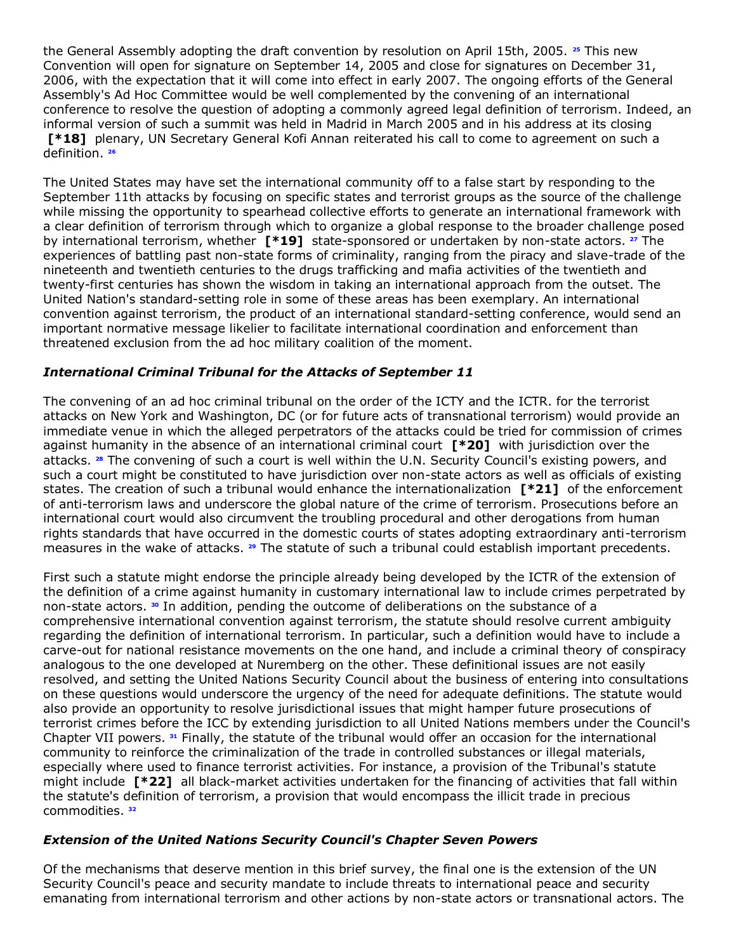the General Assembly adopting the draft convention by resolution on April 15th, 2005. **[25](http://www.lexis.com/research/retrieve?_m=47973e549231c520dbe09e2cd0971a2c&docnum=46&_fmtstr=FULL&_startdoc=1&wchp=dGLbVzz-zSkAA&_md5=0f232df1e532c2bc94176067a855cfb4&focBudTerms=&focBudSel=all#n25#n25)** This new Convention will open for signature on September 14, 2005 and close for signatures on December 31, 2006, with the expectation that it will come into effect in early 2007. The ongoing efforts of the General Assembly's Ad Hoc Committee would be well complemented by the convening of an international conference to resolve the question of adopting a commonly agreed legal definition of terrorism. Indeed, an informal version of such a summit was held in Madrid in March 2005 and in his address at its closing **[\*18]** plenary, UN Secretary General Kofi Annan reiterated his call to come to agreement on such a definition. **[26](http://www.lexis.com/research/retrieve?_m=47973e549231c520dbe09e2cd0971a2c&docnum=46&_fmtstr=FULL&_startdoc=1&wchp=dGLbVzz-zSkAA&_md5=0f232df1e532c2bc94176067a855cfb4&focBudTerms=&focBudSel=all#n26#n26)**

The United States may have set the international community off to a false start by responding to the September 11th attacks by focusing on specific states and terrorist groups as the source of the challenge while missing the opportunity to spearhead collective efforts to generate an international framework with a clear definition of terrorism through which to organize a global response to the broader challenge posed by international terrorism, whether **[\*19]** state-sponsored or undertaken by non-state actors. **[27](http://www.lexis.com/research/retrieve?_m=47973e549231c520dbe09e2cd0971a2c&docnum=46&_fmtstr=FULL&_startdoc=1&wchp=dGLbVzz-zSkAA&_md5=0f232df1e532c2bc94176067a855cfb4&focBudTerms=&focBudSel=all#n27#n27)** The experiences of battling past non-state forms of criminality, ranging from the piracy and slave-trade of the nineteenth and twentieth centuries to the drugs trafficking and mafia activities of the twentieth and twenty-first centuries has shown the wisdom in taking an international approach from the outset. The United Nation's standard-setting role in some of these areas has been exemplary. An international convention against terrorism, the product of an international standard-setting conference, would send an important normative message likelier to facilitate international coordination and enforcement than threatened exclusion from the ad hoc military coalition of the moment.

## *International Criminal Tribunal for the Attacks of September 11*

The convening of an ad hoc criminal tribunal on the order of the ICTY and the ICTR. for the terrorist attacks on New York and Washington, DC (or for future acts of transnational terrorism) would provide an immediate venue in which the alleged perpetrators of the attacks could be tried for commission of crimes against humanity in the absence of an international criminal court **[\*20]** with jurisdiction over the attacks. **[28](http://www.lexis.com/research/retrieve?_m=47973e549231c520dbe09e2cd0971a2c&docnum=46&_fmtstr=FULL&_startdoc=1&wchp=dGLbVzz-zSkAA&_md5=0f232df1e532c2bc94176067a855cfb4&focBudTerms=&focBudSel=all#n28#n28)** The convening of such a court is well within the U.N. Security Council's existing powers, and such a court might be constituted to have jurisdiction over non-state actors as well as officials of existing states. The creation of such a tribunal would enhance the internationalization **[\*21]** of the enforcement of anti-terrorism laws and underscore the global nature of the crime of terrorism. Prosecutions before an international court would also circumvent the troubling procedural and other derogations from human rights standards that have occurred in the domestic courts of states adopting extraordinary anti-terrorism measures in the wake of attacks. **[29](http://www.lexis.com/research/retrieve?_m=47973e549231c520dbe09e2cd0971a2c&docnum=46&_fmtstr=FULL&_startdoc=1&wchp=dGLbVzz-zSkAA&_md5=0f232df1e532c2bc94176067a855cfb4&focBudTerms=&focBudSel=all#n29#n29)** The statute of such a tribunal could establish important precedents.

First such a statute might endorse the principle already being developed by the ICTR of the extension of the definition of a crime against humanity in customary international law to include crimes perpetrated by non-state actors. **[30](http://www.lexis.com/research/retrieve?_m=47973e549231c520dbe09e2cd0971a2c&docnum=46&_fmtstr=FULL&_startdoc=1&wchp=dGLbVzz-zSkAA&_md5=0f232df1e532c2bc94176067a855cfb4&focBudTerms=&focBudSel=all#n30#n30)** In addition, pending the outcome of deliberations on the substance of a comprehensive international convention against terrorism, the statute should resolve current ambiguity regarding the definition of international terrorism. In particular, such a definition would have to include a carve-out for national resistance movements on the one hand, and include a criminal theory of conspiracy analogous to the one developed at Nuremberg on the other. These definitional issues are not easily resolved, and setting the United Nations Security Council about the business of entering into consultations on these questions would underscore the urgency of the need for adequate definitions. The statute would also provide an opportunity to resolve jurisdictional issues that might hamper future prosecutions of terrorist crimes before the ICC by extending jurisdiction to all United Nations members under the Council's Chapter VII powers. **[31](http://www.lexis.com/research/retrieve?_m=47973e549231c520dbe09e2cd0971a2c&docnum=46&_fmtstr=FULL&_startdoc=1&wchp=dGLbVzz-zSkAA&_md5=0f232df1e532c2bc94176067a855cfb4&focBudTerms=&focBudSel=all#n31#n31)** Finally, the statute of the tribunal would offer an occasion for the international community to reinforce the criminalization of the trade in controlled substances or illegal materials, especially where used to finance terrorist activities. For instance, a provision of the Tribunal's statute might include **[\*22]** all black-market activities undertaken for the financing of activities that fall within the statute's definition of terrorism, a provision that would encompass the illicit trade in precious commodities. **[32](http://www.lexis.com/research/retrieve?_m=47973e549231c520dbe09e2cd0971a2c&docnum=46&_fmtstr=FULL&_startdoc=1&wchp=dGLbVzz-zSkAA&_md5=0f232df1e532c2bc94176067a855cfb4&focBudTerms=&focBudSel=all#n32#n32)**

## *Extension of the United Nations Security Council's Chapter Seven Powers*

Of the mechanisms that deserve mention in this brief survey, the final one is the extension of the UN Security Council's peace and security mandate to include threats to international peace and security emanating from international terrorism and other actions by non-state actors or transnational actors. The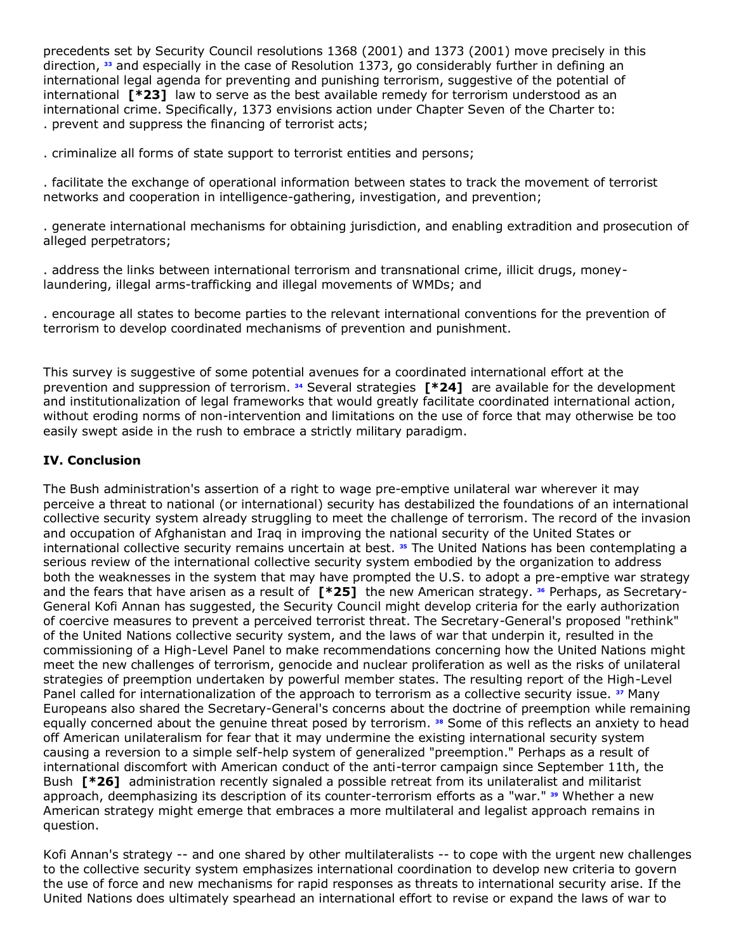precedents set by Security Council resolutions 1368 (2001) and 1373 (2001) move precisely in this direction, **[33](http://www.lexis.com/research/retrieve?_m=47973e549231c520dbe09e2cd0971a2c&docnum=46&_fmtstr=FULL&_startdoc=1&wchp=dGLbVzz-zSkAA&_md5=0f232df1e532c2bc94176067a855cfb4&focBudTerms=&focBudSel=all#n33#n33)** and especially in the case of Resolution 1373, go considerably further in defining an international legal agenda for preventing and punishing terrorism, suggestive of the potential of international **[\*23]** law to serve as the best available remedy for terrorism understood as an international crime. Specifically, 1373 envisions action under Chapter Seven of the Charter to: . prevent and suppress the financing of terrorist acts;

. criminalize all forms of state support to terrorist entities and persons;

. facilitate the exchange of operational information between states to track the movement of terrorist networks and cooperation in intelligence-gathering, investigation, and prevention;

. generate international mechanisms for obtaining jurisdiction, and enabling extradition and prosecution of alleged perpetrators;

. address the links between international terrorism and transnational crime, illicit drugs, moneylaundering, illegal arms-trafficking and illegal movements of WMDs; and

. encourage all states to become parties to the relevant international conventions for the prevention of terrorism to develop coordinated mechanisms of prevention and punishment.

This survey is suggestive of some potential avenues for a coordinated international effort at the prevention and suppression of terrorism. **[34](http://www.lexis.com/research/retrieve?_m=47973e549231c520dbe09e2cd0971a2c&docnum=46&_fmtstr=FULL&_startdoc=1&wchp=dGLbVzz-zSkAA&_md5=0f232df1e532c2bc94176067a855cfb4&focBudTerms=&focBudSel=all#n34#n34)** Several strategies **[\*24]** are available for the development and institutionalization of legal frameworks that would greatly facilitate coordinated international action, without eroding norms of non-intervention and limitations on the use of force that may otherwise be too easily swept aside in the rush to embrace a strictly military paradigm.

## **IV. Conclusion**

The Bush administration's assertion of a right to wage pre-emptive unilateral war wherever it may perceive a threat to national (or international) security has destabilized the foundations of an international collective security system already struggling to meet the challenge of terrorism. The record of the invasion and occupation of Afghanistan and Iraq in improving the national security of the United States or international collective security remains uncertain at best. **[35](http://www.lexis.com/research/retrieve?_m=47973e549231c520dbe09e2cd0971a2c&docnum=46&_fmtstr=FULL&_startdoc=1&wchp=dGLbVzz-zSkAA&_md5=0f232df1e532c2bc94176067a855cfb4&focBudTerms=&focBudSel=all#n35#n35)** The United Nations has been contemplating a serious review of the international collective security system embodied by the organization to address both the weaknesses in the system that may have prompted the U.S. to adopt a pre-emptive war strategy and the fears that have arisen as a result of **[\*25]** the new American strategy. **[36](http://www.lexis.com/research/retrieve?_m=47973e549231c520dbe09e2cd0971a2c&docnum=46&_fmtstr=FULL&_startdoc=1&wchp=dGLbVzz-zSkAA&_md5=0f232df1e532c2bc94176067a855cfb4&focBudTerms=&focBudSel=all#n36#n36)** Perhaps, as Secretary-General Kofi Annan has suggested, the Security Council might develop criteria for the early authorization of coercive measures to prevent a perceived terrorist threat. The Secretary-General's proposed "rethink" of the United Nations collective security system, and the laws of war that underpin it, resulted in the commissioning of a High-Level Panel to make recommendations concerning how the United Nations might meet the new challenges of terrorism, genocide and nuclear proliferation as well as the risks of unilateral strategies of preemption undertaken by powerful member states. The resulting report of the High-Level Panel called for internationalization of the approach to terrorism as a collective security issue. **[37](http://www.lexis.com/research/retrieve?_m=47973e549231c520dbe09e2cd0971a2c&docnum=46&_fmtstr=FULL&_startdoc=1&wchp=dGLbVzz-zSkAA&_md5=0f232df1e532c2bc94176067a855cfb4&focBudTerms=&focBudSel=all#n37#n37)** Many Europeans also shared the Secretary-General's concerns about the doctrine of preemption while remaining equally concerned about the genuine threat posed by terrorism. **[38](http://www.lexis.com/research/retrieve?_m=47973e549231c520dbe09e2cd0971a2c&docnum=46&_fmtstr=FULL&_startdoc=1&wchp=dGLbVzz-zSkAA&_md5=0f232df1e532c2bc94176067a855cfb4&focBudTerms=&focBudSel=all#n38#n38)** Some of this reflects an anxiety to head off American unilateralism for fear that it may undermine the existing international security system causing a reversion to a simple self-help system of generalized "preemption." Perhaps as a result of international discomfort with American conduct of the anti-terror campaign since September 11th, the Bush **[\*26]** administration recently signaled a possible retreat from its unilateralist and militarist approach, deemphasizing its description of its counter-terrorism efforts as a "war." **[39](http://www.lexis.com/research/retrieve?_m=47973e549231c520dbe09e2cd0971a2c&docnum=46&_fmtstr=FULL&_startdoc=1&wchp=dGLbVzz-zSkAA&_md5=0f232df1e532c2bc94176067a855cfb4&focBudTerms=&focBudSel=all#n39#n39)** Whether a new American strategy might emerge that embraces a more multilateral and legalist approach remains in question.

Kofi Annan's strategy -- and one shared by other multilateralists -- to cope with the urgent new challenges to the collective security system emphasizes international coordination to develop new criteria to govern the use of force and new mechanisms for rapid responses as threats to international security arise. If the United Nations does ultimately spearhead an international effort to revise or expand the laws of war to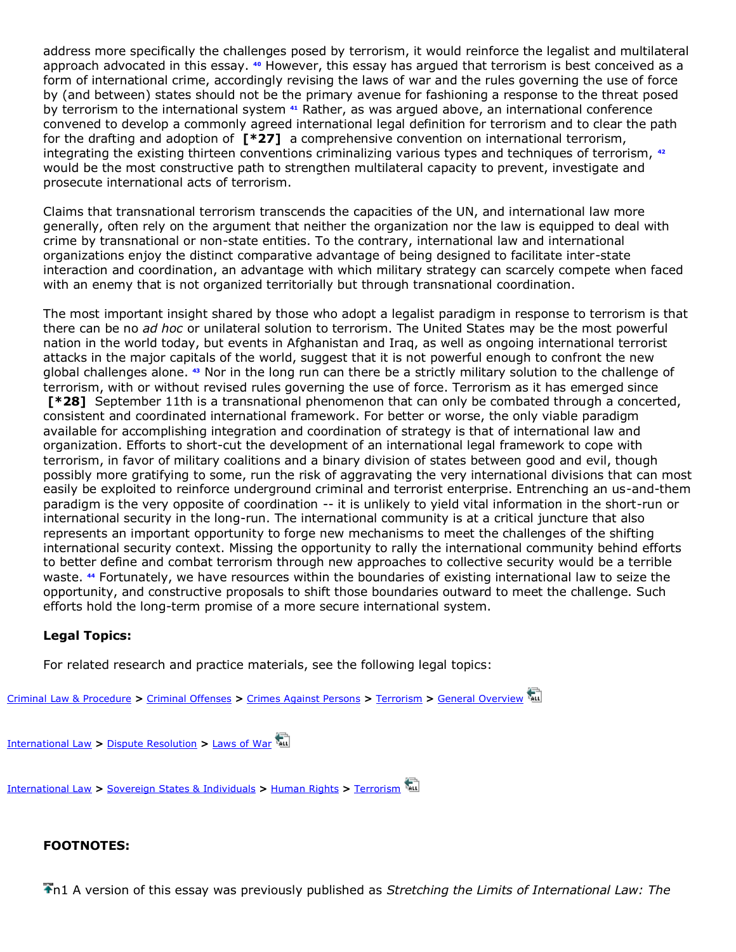address more specifically the challenges posed by terrorism, it would reinforce the legalist and multilateral approach advocated in this essay. **[40](http://www.lexis.com/research/retrieve?_m=47973e549231c520dbe09e2cd0971a2c&docnum=46&_fmtstr=FULL&_startdoc=1&wchp=dGLbVzz-zSkAA&_md5=0f232df1e532c2bc94176067a855cfb4&focBudTerms=&focBudSel=all#n40#n40)** However, this essay has argued that terrorism is best conceived as a form of international crime, accordingly revising the laws of war and the rules governing the use of force by (and between) states should not be the primary avenue for fashioning a response to the threat posed by terrorism to the international system **[41](http://www.lexis.com/research/retrieve?_m=47973e549231c520dbe09e2cd0971a2c&docnum=46&_fmtstr=FULL&_startdoc=1&wchp=dGLbVzz-zSkAA&_md5=0f232df1e532c2bc94176067a855cfb4&focBudTerms=&focBudSel=all#n41#n41)** Rather, as was argued above, an international conference convened to develop a commonly agreed international legal definition for terrorism and to clear the path for the drafting and adoption of **[\*27]** a comprehensive convention on international terrorism, integrating the existing thirteen conventions criminalizing various types and techniques of terrorism, **[42](http://www.lexis.com/research/retrieve?_m=47973e549231c520dbe09e2cd0971a2c&docnum=46&_fmtstr=FULL&_startdoc=1&wchp=dGLbVzz-zSkAA&_md5=0f232df1e532c2bc94176067a855cfb4&focBudTerms=&focBudSel=all#n42#n42)** would be the most constructive path to strengthen multilateral capacity to prevent, investigate and prosecute international acts of terrorism.

Claims that transnational terrorism transcends the capacities of the UN, and international law more generally, often rely on the argument that neither the organization nor the law is equipped to deal with crime by transnational or non-state entities. To the contrary, international law and international organizations enjoy the distinct comparative advantage of being designed to facilitate inter-state interaction and coordination, an advantage with which military strategy can scarcely compete when faced with an enemy that is not organized territorially but through transnational coordination.

The most important insight shared by those who adopt a legalist paradigm in response to terrorism is that there can be no *ad hoc* or unilateral solution to terrorism. The United States may be the most powerful nation in the world today, but events in Afghanistan and Iraq, as well as ongoing international terrorist attacks in the major capitals of the world, suggest that it is not powerful enough to confront the new global challenges alone. **[43](http://www.lexis.com/research/retrieve?_m=47973e549231c520dbe09e2cd0971a2c&docnum=46&_fmtstr=FULL&_startdoc=1&wchp=dGLbVzz-zSkAA&_md5=0f232df1e532c2bc94176067a855cfb4&focBudTerms=&focBudSel=all#n43#n43)** Nor in the long run can there be a strictly military solution to the challenge of terrorism, with or without revised rules governing the use of force. Terrorism as it has emerged since **[\*28]** September 11th is a transnational phenomenon that can only be combated through a concerted, consistent and coordinated international framework. For better or worse, the only viable paradigm available for accomplishing integration and coordination of strategy is that of international law and organization. Efforts to short-cut the development of an international legal framework to cope with terrorism, in favor of military coalitions and a binary division of states between good and evil, though possibly more gratifying to some, run the risk of aggravating the very international divisions that can most easily be exploited to reinforce underground criminal and terrorist enterprise. Entrenching an us-and-them paradigm is the very opposite of coordination -- it is unlikely to yield vital information in the short-run or international security in the long-run. The international community is at a critical juncture that also represents an important opportunity to forge new mechanisms to meet the challenges of the shifting international security context. Missing the opportunity to rally the international community behind efforts to better define and combat terrorism through new approaches to collective security would be a terrible waste. **[44](http://www.lexis.com/research/retrieve?_m=47973e549231c520dbe09e2cd0971a2c&docnum=46&_fmtstr=FULL&_startdoc=1&wchp=dGLbVzz-zSkAA&_md5=0f232df1e532c2bc94176067a855cfb4&focBudTerms=&focBudSel=all#n44#n44)** Fortunately, we have resources within the boundaries of existing international law to seize the opportunity, and constructive proposals to shift those boundaries outward to meet the challenge. Such efforts hold the long-term promise of a more secure international system.

### **Legal Topics:**

For related research and practice materials, see the following legal topics:



[International Law](http://www.lexis.com/research/buttonLink?_m=0dd0f7f8b12a3d8fb5f8477db9a3b477&_xfercite=%3ccite%20cc%3d%22USA%22%3e%3c%21%5bCDATA%5b9%20J.%20Islamic%20L.%20%26%20Culture%201%5d%5d%3e%3c%2fcite%3e&_butType=1&_butStat=0&_butNum=52&_butInline=1&_butinfo=%3dWEBSSA%2000005015&_fmtstr=FULL&docnum=46&_startdoc=1&wchp=dGLbVzz-zSkAA&_md5=b7e6e38a30e14d6558c6555f0c2e021c) **>** [Dispute Resolution](http://w3.lexis.com/research2/lt/topics/tocdisplay.do?_m=9d74edf692847ddb38d7d7e93b6400be&sub=00001656&satocOpen=00001656%2c00020432&_fmtstr=FULL&docnum=46&_startdoc=1&wchp=dGLbVzz-zSkAA&_md5=df622a66946a192c965977eed86a3e2d) **>** [Laws of War](http://w3.lexis.com/research2/lt/topics/tocdisplay.do?_m=9d74edf692847ddb38d7d7e93b6400be&sub=00001656&satocOpen=00001656%2c00020432%2c00020432&_fmtstr=FULL&docnum=46&_startdoc=1&wchp=dGLbVzz-zSkAA&_md5=df622a66946a192c965977eed86a3e2d)

[International Law](http://www.lexis.com/research/buttonLink?_m=0dd0f7f8b12a3d8fb5f8477db9a3b477&_xfercite=%3ccite%20cc%3d%22USA%22%3e%3c%21%5bCDATA%5b9%20J.%20Islamic%20L.%20%26%20Culture%201%5d%5d%3e%3c%2fcite%3e&_butType=1&_butStat=0&_butNum=53&_butInline=1&_butinfo=%3dWEBSSA%2000021837&_fmtstr=FULL&docnum=46&_startdoc=1&wchp=dGLbVzz-zSkAA&_md5=ff7ad0c1d2d2f2e2b05c7ba06730277b) **>** [Sovereign States & Individuals](http://w3.lexis.com/research2/lt/topics/tocdisplay.do?_m=9d74edf692847ddb38d7d7e93b6400be&sub=00001656&satocOpen=00001656%2c00020434&_fmtstr=FULL&docnum=46&_startdoc=1&wchp=dGLbVzz-zSkAA&_md5=df622a66946a192c965977eed86a3e2d) **>** [Human Rights](http://w3.lexis.com/research2/lt/topics/tocdisplay.do?_m=9d74edf692847ddb38d7d7e93b6400be&sub=00001656&satocOpen=00001656%2c00020434%2c00021843&_fmtstr=FULL&docnum=46&_startdoc=1&wchp=dGLbVzz-zSkAA&_md5=df622a66946a192c965977eed86a3e2d) **>** [Terrorism](http://w3.lexis.com/research2/lt/topics/tocdisplay.do?_m=9d74edf692847ddb38d7d7e93b6400be&sub=00001656&satocOpen=00001656%2c00020434%2c00021843%2c00021843&_fmtstr=FULL&docnum=46&_startdoc=1&wchp=dGLbVzz-zSkAA&_md5=df622a66946a192c965977eed86a3e2d)

# **FOOTNOTES:**

n1 A version of this essay was previously published as *Stretching the Limits of International Law: The*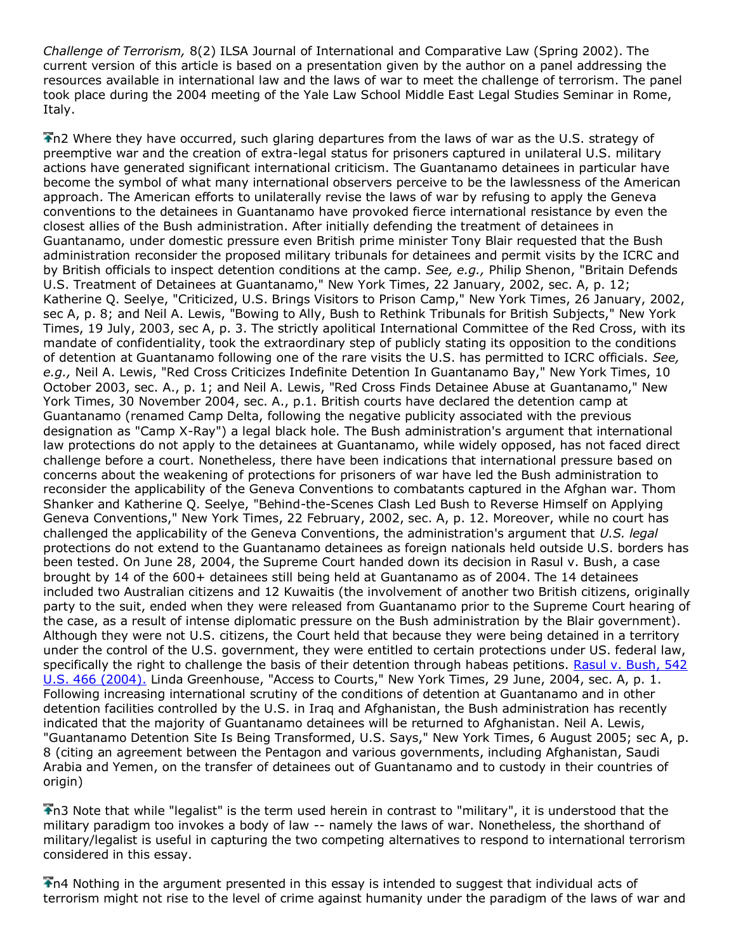*Challenge of Terrorism,* 8(2) ILSA Journal of International and Comparative Law (Spring 2002). The current version of this article is based on a presentation given by the author on a panel addressing the resources available in international law and the laws of war to meet the challenge of terrorism. The panel took place during the 2004 meeting of the Yale Law School Middle East Legal Studies Seminar in Rome, Italy.

The Where they have occurred, such glaring departures from the laws of war as the U.S. strategy of preemptive war and the creation of extra-legal status for prisoners captured in unilateral U.S. military actions have generated significant international criticism. The Guantanamo detainees in particular have become the symbol of what many international observers perceive to be the lawlessness of the American approach. The American efforts to unilaterally revise the laws of war by refusing to apply the Geneva conventions to the detainees in Guantanamo have provoked fierce international resistance by even the closest allies of the Bush administration. After initially defending the treatment of detainees in Guantanamo, under domestic pressure even British prime minister Tony Blair requested that the Bush administration reconsider the proposed military tribunals for detainees and permit visits by the ICRC and by British officials to inspect detention conditions at the camp. *See, e.g.,* Philip Shenon, "Britain Defends U.S. Treatment of Detainees at Guantanamo," New York Times, 22 January, 2002, sec. A, p. 12; Katherine Q. Seelye, "Criticized, U.S. Brings Visitors to Prison Camp," New York Times, 26 January, 2002, sec A, p. 8; and Neil A. Lewis, "Bowing to Ally, Bush to Rethink Tribunals for British Subjects," New York Times, 19 July, 2003, sec A, p. 3. The strictly apolitical International Committee of the Red Cross, with its mandate of confidentiality, took the extraordinary step of publicly stating its opposition to the conditions of detention at Guantanamo following one of the rare visits the U.S. has permitted to ICRC officials. *See, e.g.,* Neil A. Lewis, "Red Cross Criticizes Indefinite Detention In Guantanamo Bay," New York Times, 10 October 2003, sec. A., p. 1; and Neil A. Lewis, "Red Cross Finds Detainee Abuse at Guantanamo," New York Times, 30 November 2004, sec. A., p.1. British courts have declared the detention camp at Guantanamo (renamed Camp Delta, following the negative publicity associated with the previous designation as "Camp X-Ray") a legal black hole. The Bush administration's argument that international law protections do not apply to the detainees at Guantanamo, while widely opposed, has not faced direct challenge before a court. Nonetheless, there have been indications that international pressure based on concerns about the weakening of protections for prisoners of war have led the Bush administration to reconsider the applicability of the Geneva Conventions to combatants captured in the Afghan war. Thom Shanker and Katherine Q. Seelye, "Behind-the-Scenes Clash Led Bush to Reverse Himself on Applying Geneva Conventions," New York Times, 22 February, 2002, sec. A, p. 12. Moreover, while no court has challenged the applicability of the Geneva Conventions, the administration's argument that *U.S. legal* protections do not extend to the Guantanamo detainees as foreign nationals held outside U.S. borders has been tested. On June 28, 2004, the Supreme Court handed down its decision in Rasul v. Bush, a case brought by 14 of the 600+ detainees still being held at Guantanamo as of 2004. The 14 detainees included two Australian citizens and 12 Kuwaitis (the involvement of another two British citizens, originally party to the suit, ended when they were released from Guantanamo prior to the Supreme Court hearing of the case, as a result of intense diplomatic pressure on the Bush administration by the Blair government). Although they were not U.S. citizens, the Court held that because they were being detained in a territory under the control of the U.S. government, they were entitled to certain protections under US. federal law, specifically the right to challenge the basis of their detention through habeas petitions. Rasul v. Bush, 542 [U.S. 466 \(2004\).](http://www.lexis.com/research/buttonTFLink?_m=0dd0f7f8b12a3d8fb5f8477db9a3b477&_xfercite=%3ccite%20cc%3d%22USA%22%3e%3c%21%5bCDATA%5b9%20J.%20Islamic%20L.%20%26%20Culture%201%5d%5d%3e%3c%2fcite%3e&_butType=3&_butStat=2&_butNum=46&_butInline=1&_butinfo=%3ccite%20cc%3d%22USA%22%3e%3c%21%5bCDATA%5b542%20U.S.%20466%5d%5d%3e%3c%2fcite%3e&_fmtstr=FULL&docnum=46&_startdoc=1&wchp=dGLbVzz-zSkAA&_md5=aa0ae7a8377b287be1988c22cce1e87f) Linda Greenhouse, "Access to Courts," New York Times, 29 June, 2004, sec. A, p. 1. Following increasing international scrutiny of the conditions of detention at Guantanamo and in other detention facilities controlled by the U.S. in Iraq and Afghanistan, the Bush administration has recently indicated that the majority of Guantanamo detainees will be returned to Afghanistan. Neil A. Lewis, "Guantanamo Detention Site Is Being Transformed, U.S. Says," New York Times, 6 August 2005; sec A, p. 8 (citing an agreement between the Pentagon and various governments, including Afghanistan, Saudi Arabia and Yemen, on the transfer of detainees out of Guantanamo and to custody in their countries of origin)

n3 Note that while "legalist" is the term used herein in contrast to "military", it is understood that the military paradigm too invokes a body of law -- namely the laws of war. Nonetheless, the shorthand of military/legalist is useful in capturing the two competing alternatives to respond to international terrorism considered in this essay.

n4 Nothing in the argument presented in this essay is intended to suggest that individual acts of terrorism might not rise to the level of crime against humanity under the paradigm of the laws of war and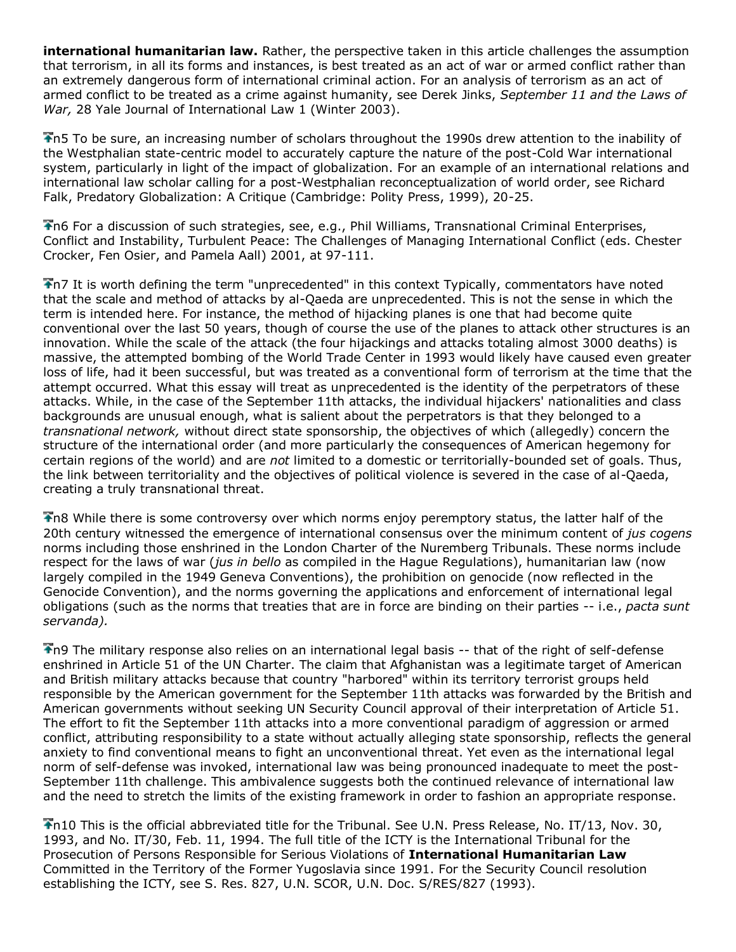**international humanitarian law.** Rather, the perspective taken in this article challenges the assumption that terrorism, in all its forms and instances, is best treated as an act of war or armed conflict rather than an extremely dangerous form of international criminal action. For an analysis of terrorism as an act of armed conflict to be treated as a crime against humanity, see Derek Jinks, *September 11 and the Laws of War,* 28 Yale Journal of International Law 1 (Winter 2003).

n5 To be sure, an increasing number of scholars throughout the 1990s drew attention to the inability of the Westphalian state-centric model to accurately capture the nature of the post-Cold War international system, particularly in light of the impact of globalization. For an example of an international relations and international law scholar calling for a post-Westphalian reconceptualization of world order, see Richard Falk, Predatory Globalization: A Critique (Cambridge: Polity Press, 1999), 20-25.

n6 For a discussion of such strategies, see, e.g., Phil Williams, Transnational Criminal Enterprises, Conflict and Instability, Turbulent Peace: The Challenges of Managing International Conflict (eds. Chester Crocker, Fen Osier, and Pamela Aall) 2001, at 97-111.

n7 It is worth defining the term "unprecedented" in this context Typically, commentators have noted that the scale and method of attacks by al-Qaeda are unprecedented. This is not the sense in which the term is intended here. For instance, the method of hijacking planes is one that had become quite conventional over the last 50 years, though of course the use of the planes to attack other structures is an innovation. While the scale of the attack (the four hijackings and attacks totaling almost 3000 deaths) is massive, the attempted bombing of the World Trade Center in 1993 would likely have caused even greater loss of life, had it been successful, but was treated as a conventional form of terrorism at the time that the attempt occurred. What this essay will treat as unprecedented is the identity of the perpetrators of these attacks. While, in the case of the September 11th attacks, the individual hijackers' nationalities and class backgrounds are unusual enough, what is salient about the perpetrators is that they belonged to a *transnational network,* without direct state sponsorship, the objectives of which (allegedly) concern the structure of the international order (and more particularly the consequences of American hegemony for certain regions of the world) and are *not* limited to a domestic or territorially-bounded set of goals. Thus, the link between territoriality and the objectives of political violence is severed in the case of al-Qaeda, creating a truly transnational threat.

n8 While there is some controversy over which norms enjoy peremptory status, the latter half of the 20th century witnessed the emergence of international consensus over the minimum content of *jus cogens* norms including those enshrined in the London Charter of the Nuremberg Tribunals. These norms include respect for the laws of war (*jus in bello* as compiled in the Hague Regulations), humanitarian law (now largely compiled in the 1949 Geneva Conventions), the prohibition on genocide (now reflected in the Genocide Convention), and the norms governing the applications and enforcement of international legal obligations (such as the norms that treaties that are in force are binding on their parties -- i.e., *pacta sunt servanda).*

n9 The military response also relies on an international legal basis -- that of the right of self-defense enshrined in Article 51 of the UN Charter. The claim that Afghanistan was a legitimate target of American and British military attacks because that country "harbored" within its territory terrorist groups held responsible by the American government for the September 11th attacks was forwarded by the British and American governments without seeking UN Security Council approval of their interpretation of Article 51. The effort to fit the September 11th attacks into a more conventional paradigm of aggression or armed conflict, attributing responsibility to a state without actually alleging state sponsorship, reflects the general anxiety to find conventional means to fight an unconventional threat. Yet even as the international legal norm of self-defense was invoked, international law was being pronounced inadequate to meet the post-September 11th challenge. This ambivalence suggests both the continued relevance of international law and the need to stretch the limits of the existing framework in order to fashion an appropriate response.

n10 This is the official abbreviated title for the Tribunal. See U.N. Press Release, No. IT/13, Nov. 30, 1993, and No. IT/30, Feb. 11, 1994. The full title of the ICTY is the International Tribunal for the Prosecution of Persons Responsible for Serious Violations of **International Humanitarian Law** Committed in the Territory of the Former Yugoslavia since 1991. For the Security Council resolution establishing the ICTY, see S. Res. 827, U.N. SCOR, U.N. Doc. S/RES/827 (1993).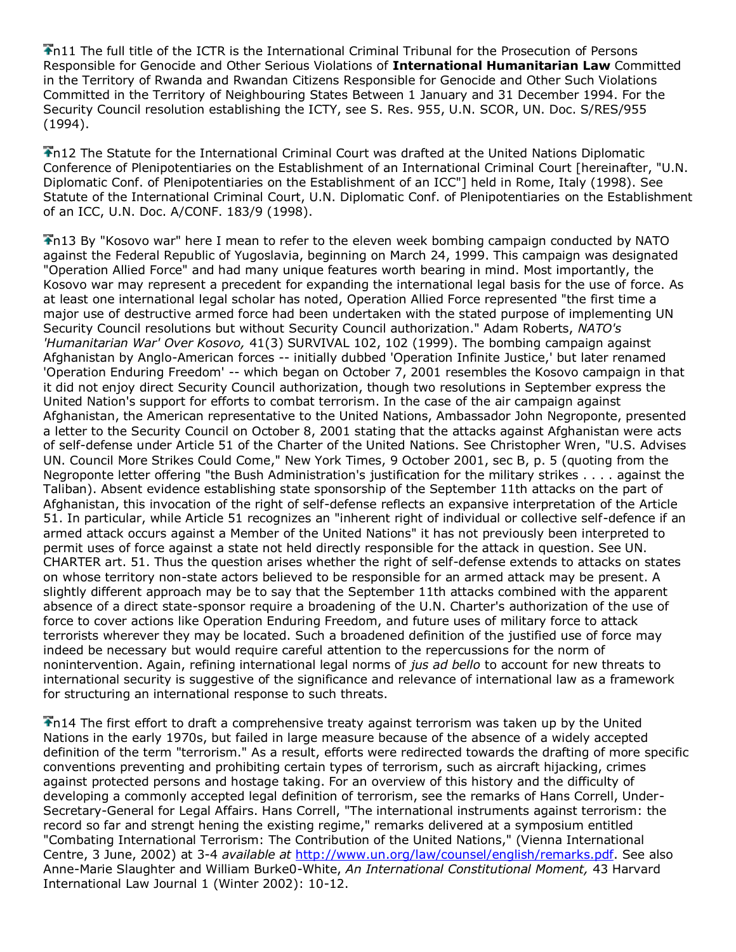n11 The full title of the ICTR is the International Criminal Tribunal for the Prosecution of Persons Responsible for Genocide and Other Serious Violations of **International Humanitarian Law** Committed in the Territory of Rwanda and Rwandan Citizens Responsible for Genocide and Other Such Violations Committed in the Territory of Neighbouring States Between 1 January and 31 December 1994. For the Security Council resolution establishing the ICTY, see S. Res. 955, U.N. SCOR, UN. Doc. S/RES/955 (1994).

n12 The Statute for the International Criminal Court was drafted at the United Nations Diplomatic Conference of Plenipotentiaries on the Establishment of an International Criminal Court [hereinafter, "U.N. Diplomatic Conf. of Plenipotentiaries on the Establishment of an ICC"] held in Rome, Italy (1998). See Statute of the International Criminal Court, U.N. Diplomatic Conf. of Plenipotentiaries on the Establishment of an ICC, U.N. Doc. A/CONF. 183/9 (1998).

n13 By "Kosovo war" here I mean to refer to the eleven week bombing campaign conducted by NATO against the Federal Republic of Yugoslavia, beginning on March 24, 1999. This campaign was designated "Operation Allied Force" and had many unique features worth bearing in mind. Most importantly, the Kosovo war may represent a precedent for expanding the international legal basis for the use of force. As at least one international legal scholar has noted, Operation Allied Force represented "the first time a major use of destructive armed force had been undertaken with the stated purpose of implementing UN Security Council resolutions but without Security Council authorization." Adam Roberts, *NATO's 'Humanitarian War' Over Kosovo,* 41(3) SURVIVAL 102, 102 (1999). The bombing campaign against Afghanistan by Anglo-American forces -- initially dubbed 'Operation Infinite Justice,' but later renamed 'Operation Enduring Freedom' -- which began on October 7, 2001 resembles the Kosovo campaign in that it did not enjoy direct Security Council authorization, though two resolutions in September express the United Nation's support for efforts to combat terrorism. In the case of the air campaign against Afghanistan, the American representative to the United Nations, Ambassador John Negroponte, presented a letter to the Security Council on October 8, 2001 stating that the attacks against Afghanistan were acts of self-defense under Article 51 of the Charter of the United Nations. See Christopher Wren, "U.S. Advises UN. Council More Strikes Could Come," New York Times, 9 October 2001, sec B, p. 5 (quoting from the Negroponte letter offering "the Bush Administration's justification for the military strikes . . . . against the Taliban). Absent evidence establishing state sponsorship of the September 11th attacks on the part of Afghanistan, this invocation of the right of self-defense reflects an expansive interpretation of the Article 51. In particular, while Article 51 recognizes an "inherent right of individual or collective self-defence if an armed attack occurs against a Member of the United Nations" it has not previously been interpreted to permit uses of force against a state not held directly responsible for the attack in question. See UN. CHARTER art. 51. Thus the question arises whether the right of self-defense extends to attacks on states on whose territory non-state actors believed to be responsible for an armed attack may be present. A slightly different approach may be to say that the September 11th attacks combined with the apparent absence of a direct state-sponsor require a broadening of the U.N. Charter's authorization of the use of force to cover actions like Operation Enduring Freedom, and future uses of military force to attack terrorists wherever they may be located. Such a broadened definition of the justified use of force may indeed be necessary but would require careful attention to the repercussions for the norm of nonintervention. Again, refining international legal norms of *jus ad bello* to account for new threats to international security is suggestive of the significance and relevance of international law as a framework for structuring an international response to such threats.

n14 The first effort to draft a comprehensive treaty against terrorism was taken up by the United Nations in the early 1970s, but failed in large measure because of the absence of a widely accepted definition of the term "terrorism." As a result, efforts were redirected towards the drafting of more specific conventions preventing and prohibiting certain types of terrorism, such as aircraft hijacking, crimes against protected persons and hostage taking. For an overview of this history and the difficulty of developing a commonly accepted legal definition of terrorism, see the remarks of Hans Correll, Under-Secretary-General for Legal Affairs. Hans Correll, "The international instruments against terrorism: the record so far and strengt hening the existing regime," remarks delivered at a symposium entitled "Combating International Terrorism: The Contribution of the United Nations," (Vienna International Centre, 3 June, 2002) at 3-4 *available at* [http://www.un.org/law/counsel/english/remarks.pdf.](http://www.un.org/law/counsel/english/remarks.pdf) See also Anne-Marie Slaughter and William Burke0-White, *An International Constitutional Moment,* 43 Harvard International Law Journal 1 (Winter 2002): 10-12.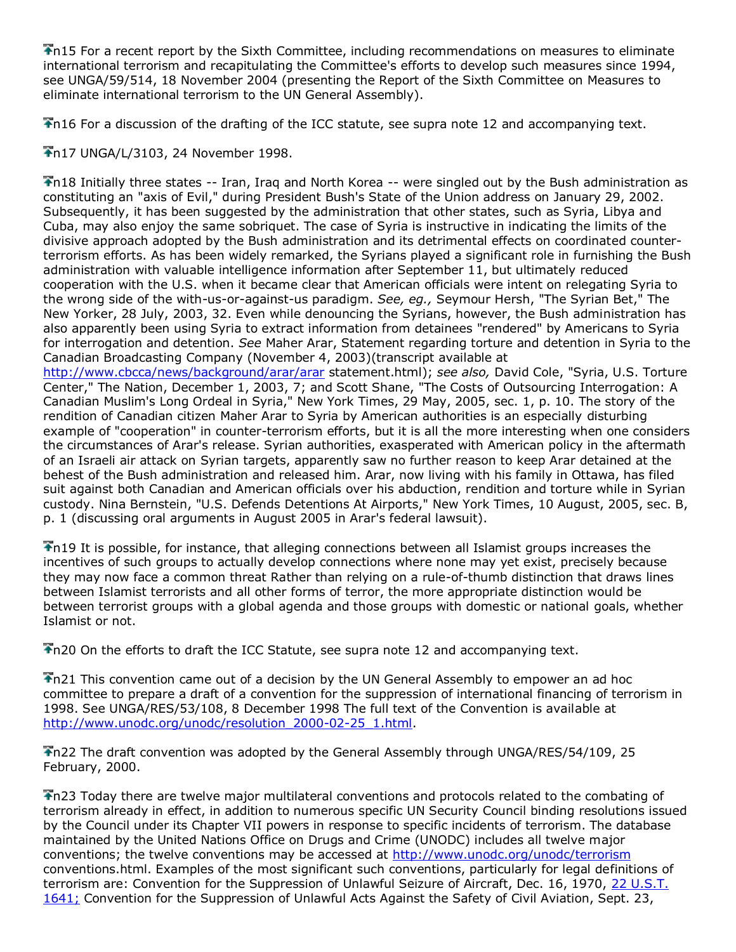n15 For a recent report by the Sixth Committee, including recommendations on measures to eliminate international terrorism and recapitulating the Committee's efforts to develop such measures since 1994, see UNGA/59/514, 18 November 2004 (presenting the Report of the Sixth Committee on Measures to eliminate international terrorism to the UN General Assembly).

n16 For a discussion of the drafting of the ICC statute, see supra note 12 and accompanying text.

n17 UNGA/L/3103, 24 November 1998.

n18 Initially three states -- Iran, Iraq and North Korea -- were singled out by the Bush administration as constituting an "axis of Evil," during President Bush's State of the Union address on January 29, 2002. Subsequently, it has been suggested by the administration that other states, such as Syria, Libya and Cuba, may also enjoy the same sobriquet. The case of Syria is instructive in indicating the limits of the divisive approach adopted by the Bush administration and its detrimental effects on coordinated counterterrorism efforts. As has been widely remarked, the Syrians played a significant role in furnishing the Bush administration with valuable intelligence information after September 11, but ultimately reduced cooperation with the U.S. when it became clear that American officials were intent on relegating Syria to the wrong side of the with-us-or-against-us paradigm. *See, eg.,* Seymour Hersh, "The Syrian Bet," The New Yorker, 28 July, 2003, 32. Even while denouncing the Syrians, however, the Bush administration has also apparently been using Syria to extract information from detainees "rendered" by Americans to Syria for interrogation and detention. *See* Maher Arar, Statement regarding torture and detention in Syria to the Canadian Broadcasting Company (November 4, 2003)(transcript available at <http://www.cbcca/news/background/arar/arar> statement.html); *see also,* David Cole, "Syria, U.S. Torture Center," The Nation, December 1, 2003, 7; and Scott Shane, "The Costs of Outsourcing Interrogation: A Canadian Muslim's Long Ordeal in Syria," New York Times, 29 May, 2005, sec. 1, p. 10. The story of the rendition of Canadian citizen Maher Arar to Syria by American authorities is an especially disturbing example of "cooperation" in counter-terrorism efforts, but it is all the more interesting when one considers the circumstances of Arar's release. Syrian authorities, exasperated with American policy in the aftermath of an Israeli air attack on Syrian targets, apparently saw no further reason to keep Arar detained at the behest of the Bush administration and released him. Arar, now living with his family in Ottawa, has filed suit against both Canadian and American officials over his abduction, rendition and torture while in Syrian

custody. Nina Bernstein, "U.S. Defends Detentions At Airports," New York Times, 10 August, 2005, sec. B, p. 1 (discussing oral arguments in August 2005 in Arar's federal lawsuit).

n19 It is possible, for instance, that alleging connections between all Islamist groups increases the incentives of such groups to actually develop connections where none may yet exist, precisely because they may now face a common threat Rather than relying on a rule-of-thumb distinction that draws lines between Islamist terrorists and all other forms of terror, the more appropriate distinction would be between terrorist groups with a global agenda and those groups with domestic or national goals, whether Islamist or not.

n20 On the efforts to draft the ICC Statute, see supra note 12 and accompanying text.

n21 This convention came out of a decision by the UN General Assembly to empower an ad hoc committee to prepare a draft of a convention for the suppression of international financing of terrorism in 1998. See UNGA/RES/53/108, 8 December 1998 The full text of the Convention is available at [http://www.unodc.org/unodc/resolution\\_2000-02-25\\_1.html.](http://www.unodc.org/unodc/resolution_2000-02-25_1.html)

The draft convention was adopted by the General Assembly through UNGA/RES/54/109, 25 February, 2000.

n23 Today there are twelve major multilateral conventions and protocols related to the combating of terrorism already in effect, in addition to numerous specific UN Security Council binding resolutions issued by the Council under its Chapter VII powers in response to specific incidents of terrorism. The database maintained by the United Nations Office on Drugs and Crime (UNODC) includes all twelve major conventions; the twelve conventions may be accessed at<http://www.unodc.org/unodc/terrorism> conventions.html. Examples of the most significant such conventions, particularly for legal definitions of terrorism are: Convention for the Suppression of Unlawful Seizure of Aircraft, Dec. 16, 1970, [22 U.S.T.](http://www.lexis.com/research/buttonTFLink?_m=0dd0f7f8b12a3d8fb5f8477db9a3b477&_xfercite=%3ccite%20cc%3d%22USA%22%3e%3c%21%5bCDATA%5b9%20J.%20Islamic%20L.%20%26%20Culture%201%5d%5d%3e%3c%2fcite%3e&_butType=3&_butStat=2&_butNum=47&_butInline=1&_butinfo=%3ccite%20cc%3d%22USA%22%3e%3c%21%5bCDATA%5b22%20U.S.T.%201641%5d%5d%3e%3c%2fcite%3e&_fmtstr=FULL&docnum=46&_startdoc=1&wchp=dGLbVzz-zSkAA&_md5=dbd4de10671431588af958758badf1f0)  [1641;](http://www.lexis.com/research/buttonTFLink?_m=0dd0f7f8b12a3d8fb5f8477db9a3b477&_xfercite=%3ccite%20cc%3d%22USA%22%3e%3c%21%5bCDATA%5b9%20J.%20Islamic%20L.%20%26%20Culture%201%5d%5d%3e%3c%2fcite%3e&_butType=3&_butStat=2&_butNum=47&_butInline=1&_butinfo=%3ccite%20cc%3d%22USA%22%3e%3c%21%5bCDATA%5b22%20U.S.T.%201641%5d%5d%3e%3c%2fcite%3e&_fmtstr=FULL&docnum=46&_startdoc=1&wchp=dGLbVzz-zSkAA&_md5=dbd4de10671431588af958758badf1f0) Convention for the Suppression of Unlawful Acts Against the Safety of Civil Aviation, Sept. 23,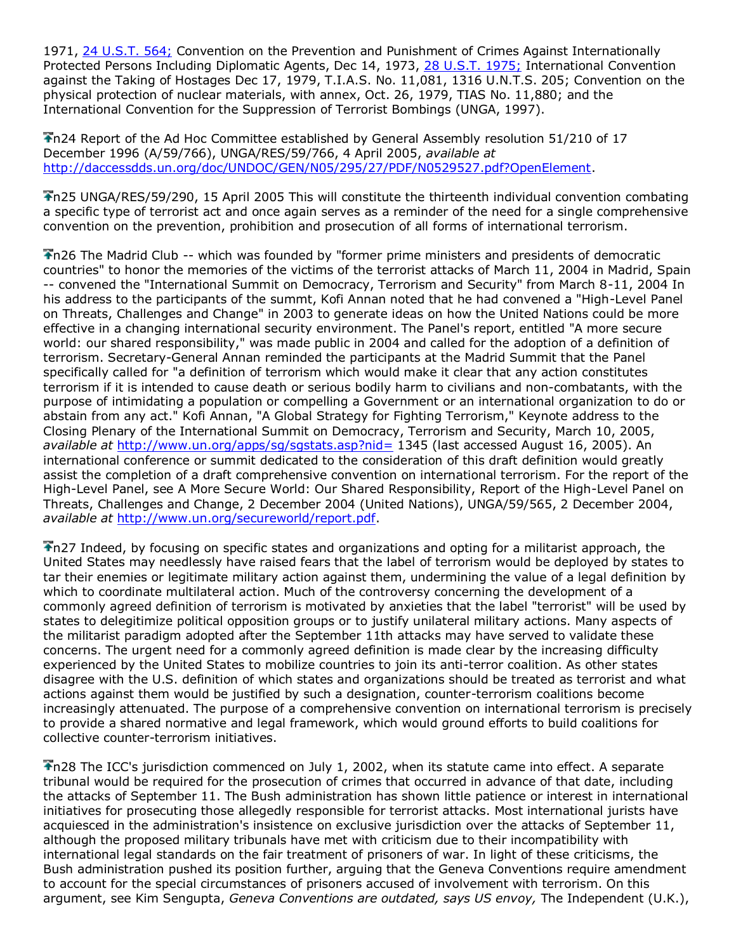1971, [24 U.S.T. 564;](http://www.lexis.com/research/buttonTFLink?_m=0dd0f7f8b12a3d8fb5f8477db9a3b477&_xfercite=%3ccite%20cc%3d%22USA%22%3e%3c%21%5bCDATA%5b9%20J.%20Islamic%20L.%20%26%20Culture%201%5d%5d%3e%3c%2fcite%3e&_butType=3&_butStat=2&_butNum=48&_butInline=1&_butinfo=%3ccite%20cc%3d%22USA%22%3e%3c%21%5bCDATA%5b24%20U.S.T.%20564%5d%5d%3e%3c%2fcite%3e&_fmtstr=FULL&docnum=46&_startdoc=1&wchp=dGLbVzz-zSkAA&_md5=3311dc5f377a0a260d0e8fb374c87a90) Convention on the Prevention and Punishment of Crimes Against Internationally Protected Persons Including Diplomatic Agents, Dec 14, 1973, [28 U.S.T. 1975;](http://www.lexis.com/research/buttonTFLink?_m=0dd0f7f8b12a3d8fb5f8477db9a3b477&_xfercite=%3ccite%20cc%3d%22USA%22%3e%3c%21%5bCDATA%5b9%20J.%20Islamic%20L.%20%26%20Culture%201%5d%5d%3e%3c%2fcite%3e&_butType=3&_butStat=2&_butNum=49&_butInline=1&_butinfo=%3ccite%20cc%3d%22USA%22%3e%3c%21%5bCDATA%5b28%20U.S.T.%201975%5d%5d%3e%3c%2fcite%3e&_fmtstr=FULL&docnum=46&_startdoc=1&wchp=dGLbVzz-zSkAA&_md5=8419020e095d38c55ba89e8bb1b8a422) International Convention against the Taking of Hostages Dec 17, 1979, T.I.A.S. No. 11,081, 1316 U.N.T.S. 205; Convention on the physical protection of nuclear materials, with annex, Oct. 26, 1979, TIAS No. 11,880; and the International Convention for the Suppression of Terrorist Bombings (UNGA, 1997).

n24 Report of the Ad Hoc Committee established by General Assembly resolution 51/210 of 17 December 1996 (A/59/766), UNGA/RES/59/766, 4 April 2005, *available at* [http://daccessdds.un.org/doc/UNDOC/GEN/N05/295/27/PDF/N0529527.pdf?OpenElement.](http://daccessdds.un.org/doc/UNDOC/GEN/N05/295/27/PDF/N0529527.pdf?OpenElement)

n25 UNGA/RES/59/290, 15 April 2005 This will constitute the thirteenth individual convention combating a specific type of terrorist act and once again serves as a reminder of the need for a single comprehensive convention on the prevention, prohibition and prosecution of all forms of international terrorism.

Th26 The Madrid Club -- which was founded by "former prime ministers and presidents of democratic countries" to honor the memories of the victims of the terrorist attacks of March 11, 2004 in Madrid, Spain -- convened the "International Summit on Democracy, Terrorism and Security" from March 8-11, 2004 In his address to the participants of the summt, Kofi Annan noted that he had convened a "High-Level Panel on Threats, Challenges and Change" in 2003 to generate ideas on how the United Nations could be more effective in a changing international security environment. The Panel's report, entitled "A more secure world: our shared responsibility," was made public in 2004 and called for the adoption of a definition of terrorism. Secretary-General Annan reminded the participants at the Madrid Summit that the Panel specifically called for "a definition of terrorism which would make it clear that any action constitutes terrorism if it is intended to cause death or serious bodily harm to civilians and non-combatants, with the purpose of intimidating a population or compelling a Government or an international organization to do or abstain from any act." Kofi Annan, "A Global Strategy for Fighting Terrorism," Keynote address to the Closing Plenary of the International Summit on Democracy, Terrorism and Security, March 10, 2005, *available at* <http://www.un.org/apps/sg/sgstats.asp?nid=> 1345 (last accessed August 16, 2005). An international conference or summit dedicated to the consideration of this draft definition would greatly assist the completion of a draft comprehensive convention on international terrorism. For the report of the High-Level Panel, see A More Secure World: Our Shared Responsibility, Report of the High-Level Panel on Threats, Challenges and Change, 2 December 2004 (United Nations), UNGA/59/565, 2 December 2004, *available at* [http://www.un.org/secureworld/report.pdf.](http://www.un.org/secureworld/report.pdf)

n27 Indeed, by focusing on specific states and organizations and opting for a militarist approach, the United States may needlessly have raised fears that the label of terrorism would be deployed by states to tar their enemies or legitimate military action against them, undermining the value of a legal definition by which to coordinate multilateral action. Much of the controversy concerning the development of a commonly agreed definition of terrorism is motivated by anxieties that the label "terrorist" will be used by states to delegitimize political opposition groups or to justify unilateral military actions. Many aspects of the militarist paradigm adopted after the September 11th attacks may have served to validate these concerns. The urgent need for a commonly agreed definition is made clear by the increasing difficulty experienced by the United States to mobilize countries to join its anti-terror coalition. As other states disagree with the U.S. definition of which states and organizations should be treated as terrorist and what actions against them would be justified by such a designation, counter-terrorism coalitions become increasingly attenuated. The purpose of a comprehensive convention on international terrorism is precisely to provide a shared normative and legal framework, which would ground efforts to build coalitions for collective counter-terrorism initiatives.

Th28 The ICC's jurisdiction commenced on July 1, 2002, when its statute came into effect. A separate tribunal would be required for the prosecution of crimes that occurred in advance of that date, including the attacks of September 11. The Bush administration has shown little patience or interest in international initiatives for prosecuting those allegedly responsible for terrorist attacks. Most international jurists have acquiesced in the administration's insistence on exclusive jurisdiction over the attacks of September 11, although the proposed military tribunals have met with criticism due to their incompatibility with international legal standards on the fair treatment of prisoners of war. In light of these criticisms, the Bush administration pushed its position further, arguing that the Geneva Conventions require amendment to account for the special circumstances of prisoners accused of involvement with terrorism. On this argument, see Kim Sengupta, *Geneva Conventions are outdated, says US envoy,* The Independent (U.K.),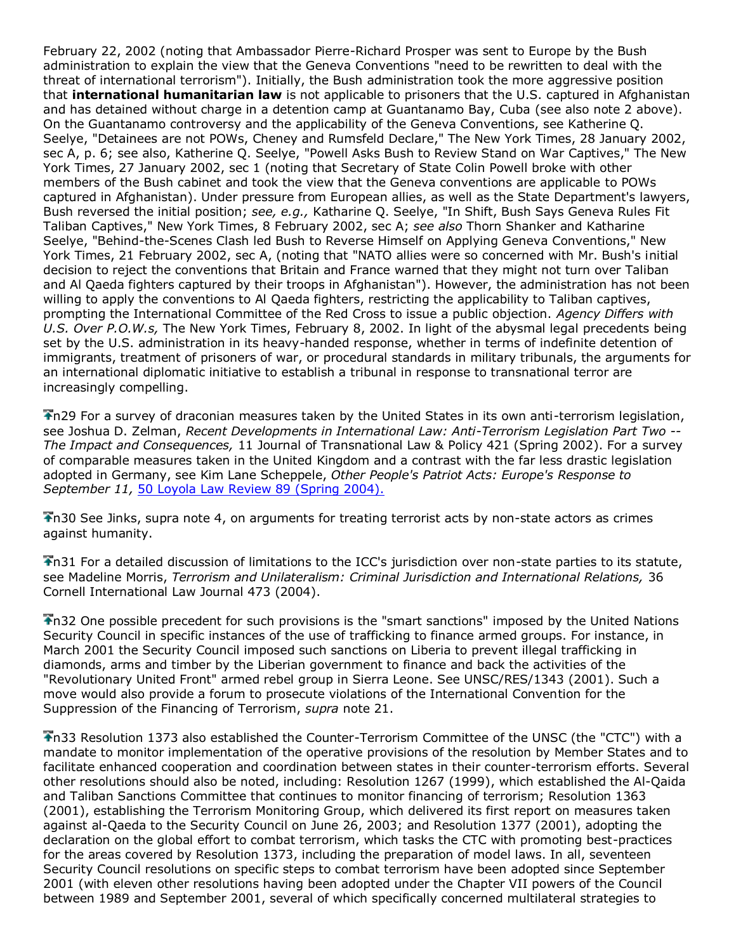February 22, 2002 (noting that Ambassador Pierre-Richard Prosper was sent to Europe by the Bush administration to explain the view that the Geneva Conventions "need to be rewritten to deal with the threat of international terrorism"). Initially, the Bush administration took the more aggressive position that **international humanitarian law** is not applicable to prisoners that the U.S. captured in Afghanistan and has detained without charge in a detention camp at Guantanamo Bay, Cuba (see also note 2 above). On the Guantanamo controversy and the applicability of the Geneva Conventions, see Katherine Q. Seelye, "Detainees are not POWs, Cheney and Rumsfeld Declare," The New York Times, 28 January 2002, sec A, p. 6; see also, Katherine Q. Seelye, "Powell Asks Bush to Review Stand on War Captives," The New York Times, 27 January 2002, sec 1 (noting that Secretary of State Colin Powell broke with other members of the Bush cabinet and took the view that the Geneva conventions are applicable to POWs captured in Afghanistan). Under pressure from European allies, as well as the State Department's lawyers, Bush reversed the initial position; *see, e.g.,* Katharine Q. Seelye, "In Shift, Bush Says Geneva Rules Fit Taliban Captives," New York Times, 8 February 2002, sec A; *see also* Thorn Shanker and Katharine Seelye, "Behind-the-Scenes Clash led Bush to Reverse Himself on Applying Geneva Conventions," New York Times, 21 February 2002, sec A, (noting that "NATO allies were so concerned with Mr. Bush's initial decision to reject the conventions that Britain and France warned that they might not turn over Taliban and Al Qaeda fighters captured by their troops in Afghanistan"). However, the administration has not been willing to apply the conventions to Al Qaeda fighters, restricting the applicability to Taliban captives, prompting the International Committee of the Red Cross to issue a public objection. *Agency Differs with U.S. Over P.O.W.s,* The New York Times, February 8, 2002. In light of the abysmal legal precedents being set by the U.S. administration in its heavy-handed response, whether in terms of indefinite detention of immigrants, treatment of prisoners of war, or procedural standards in military tribunals, the arguments for an international diplomatic initiative to establish a tribunal in response to transnational terror are increasingly compelling.

n29 For a survey of draconian measures taken by the United States in its own anti-terrorism legislation, see Joshua D. Zelman, *Recent Developments in International Law: Anti-Terrorism Legislation Part Two -- The Impact and Consequences,* 11 Journal of Transnational Law & Policy 421 (Spring 2002). For a survey of comparable measures taken in the United Kingdom and a contrast with the far less drastic legislation adopted in Germany, see Kim Lane Scheppele, *Other People's Patriot Acts: Europe's Response to September 11,* [50 Loyola Law Review 89 \(Spring 2004\).](http://www.lexis.com/research/buttonTFLink?_m=0dd0f7f8b12a3d8fb5f8477db9a3b477&_xfercite=%3ccite%20cc%3d%22USA%22%3e%3c%21%5bCDATA%5b9%20J.%20Islamic%20L.%20%26%20Culture%201%5d%5d%3e%3c%2fcite%3e&_butType=3&_butStat=2&_butNum=50&_butInline=1&_butinfo=%3ccite%20cc%3d%22USA%22%3e%3c%21%5bCDATA%5b50%20Loy.%20L.%20Rev.%2089%5d%5d%3e%3c%2fcite%3e&_fmtstr=FULL&docnum=46&_startdoc=1&wchp=dGLbVzz-zSkAA&_md5=2742a0e27f70d4194f5355f91d609b4a)

n30 See Jinks, supra note 4, on arguments for treating terrorist acts by non-state actors as crimes against humanity.

n31 For a detailed discussion of limitations to the ICC's jurisdiction over non-state parties to its statute, see Madeline Morris, *Terrorism and Unilateralism: Criminal Jurisdiction and International Relations,* 36 Cornell International Law Journal 473 (2004).

n32 One possible precedent for such provisions is the "smart sanctions" imposed by the United Nations Security Council in specific instances of the use of trafficking to finance armed groups. For instance, in March 2001 the Security Council imposed such sanctions on Liberia to prevent illegal trafficking in diamonds, arms and timber by the Liberian government to finance and back the activities of the "Revolutionary United Front" armed rebel group in Sierra Leone. See UNSC/RES/1343 (2001). Such a move would also provide a forum to prosecute violations of the International Convention for the Suppression of the Financing of Terrorism, *supra* note 21.

n33 Resolution 1373 also established the Counter-Terrorism Committee of the UNSC (the "CTC") with a mandate to monitor implementation of the operative provisions of the resolution by Member States and to facilitate enhanced cooperation and coordination between states in their counter-terrorism efforts. Several other resolutions should also be noted, including: Resolution 1267 (1999), which established the Al-Qaida and Taliban Sanctions Committee that continues to monitor financing of terrorism; Resolution 1363 (2001), establishing the Terrorism Monitoring Group, which delivered its first report on measures taken against al-Qaeda to the Security Council on June 26, 2003; and Resolution 1377 (2001), adopting the declaration on the global effort to combat terrorism, which tasks the CTC with promoting best-practices for the areas covered by Resolution 1373, including the preparation of model laws. In all, seventeen Security Council resolutions on specific steps to combat terrorism have been adopted since September 2001 (with eleven other resolutions having been adopted under the Chapter VII powers of the Council between 1989 and September 2001, several of which specifically concerned multilateral strategies to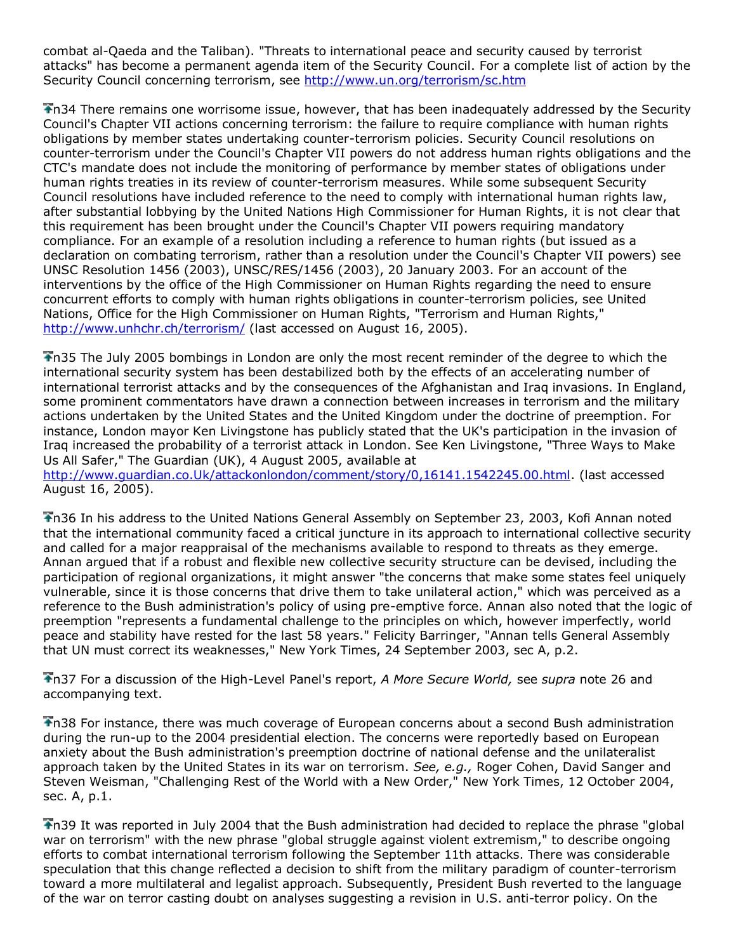combat al-Qaeda and the Taliban). "Threats to international peace and security caused by terrorist attacks" has become a permanent agenda item of the Security Council. For a complete list of action by the Security Council concerning terrorism, see<http://www.un.org/terrorism/sc.htm>

n34 There remains one worrisome issue, however, that has been inadequately addressed by the Security Council's Chapter VII actions concerning terrorism: the failure to require compliance with human rights obligations by member states undertaking counter-terrorism policies. Security Council resolutions on counter-terrorism under the Council's Chapter VII powers do not address human rights obligations and the CTC's mandate does not include the monitoring of performance by member states of obligations under human rights treaties in its review of counter-terrorism measures. While some subsequent Security Council resolutions have included reference to the need to comply with international human rights law, after substantial lobbying by the United Nations High Commissioner for Human Rights, it is not clear that this requirement has been brought under the Council's Chapter VII powers requiring mandatory compliance. For an example of a resolution including a reference to human rights (but issued as a declaration on combating terrorism, rather than a resolution under the Council's Chapter VII powers) see UNSC Resolution 1456 (2003), UNSC/RES/1456 (2003), 20 January 2003. For an account of the interventions by the office of the High Commissioner on Human Rights regarding the need to ensure concurrent efforts to comply with human rights obligations in counter-terrorism policies, see United Nations, Office for the High Commissioner on Human Rights, "Terrorism and Human Rights," <http://www.unhchr.ch/terrorism/> (last accessed on August 16, 2005).

n35 The July 2005 bombings in London are only the most recent reminder of the degree to which the international security system has been destabilized both by the effects of an accelerating number of international terrorist attacks and by the consequences of the Afghanistan and Iraq invasions. In England, some prominent commentators have drawn a connection between increases in terrorism and the military actions undertaken by the United States and the United Kingdom under the doctrine of preemption. For instance, London mayor Ken Livingstone has publicly stated that the UK's participation in the invasion of Iraq increased the probability of a terrorist attack in London. See Ken Livingstone, "Three Ways to Make Us All Safer," The Guardian (UK), 4 August 2005, available at

[http://www.guardian.co.Uk/attackonlondon/comment/story/0,16141.1542245.00.html.](http://www.guardian.co.uk/attackonlondon/comment/story/0,16141.1542245.00.html) (last accessed August 16, 2005).

n36 In his address to the United Nations General Assembly on September 23, 2003, Kofi Annan noted that the international community faced a critical juncture in its approach to international collective security and called for a major reappraisal of the mechanisms available to respond to threats as they emerge. Annan argued that if a robust and flexible new collective security structure can be devised, including the participation of regional organizations, it might answer "the concerns that make some states feel uniquely vulnerable, since it is those concerns that drive them to take unilateral action," which was perceived as a reference to the Bush administration's policy of using pre-emptive force. Annan also noted that the logic of preemption "represents a fundamental challenge to the principles on which, however imperfectly, world peace and stability have rested for the last 58 years." Felicity Barringer, "Annan tells General Assembly that UN must correct its weaknesses," New York Times, 24 September 2003, sec A, p.2.

n37 For a discussion of the High-Level Panel's report, *A More Secure World,* see *supra* note 26 and accompanying text.

n38 For instance, there was much coverage of European concerns about a second Bush administration during the run-up to the 2004 presidential election. The concerns were reportedly based on European anxiety about the Bush administration's preemption doctrine of national defense and the unilateralist approach taken by the United States in its war on terrorism. *See, e.g.,* Roger Cohen, David Sanger and Steven Weisman, "Challenging Rest of the World with a New Order," New York Times, 12 October 2004, sec. A, p.1.

n39 It was reported in July 2004 that the Bush administration had decided to replace the phrase "global war on terrorism" with the new phrase "global struggle against violent extremism," to describe ongoing efforts to combat international terrorism following the September 11th attacks. There was considerable speculation that this change reflected a decision to shift from the military paradigm of counter-terrorism toward a more multilateral and legalist approach. Subsequently, President Bush reverted to the language of the war on terror casting doubt on analyses suggesting a revision in U.S. anti-terror policy. On the